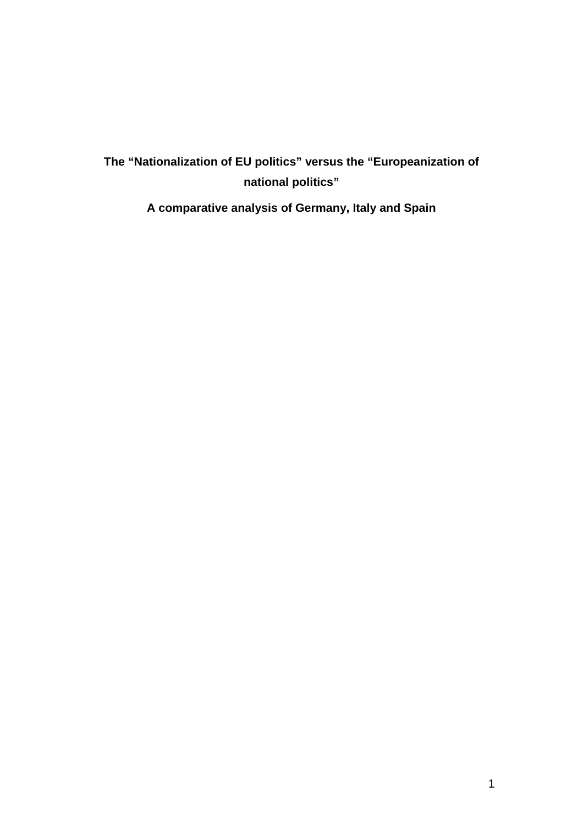# **The "Nationalization of EU politics" versus the "Europeanization of national politics"**

**A comparative analysis of Germany, Italy and Spain**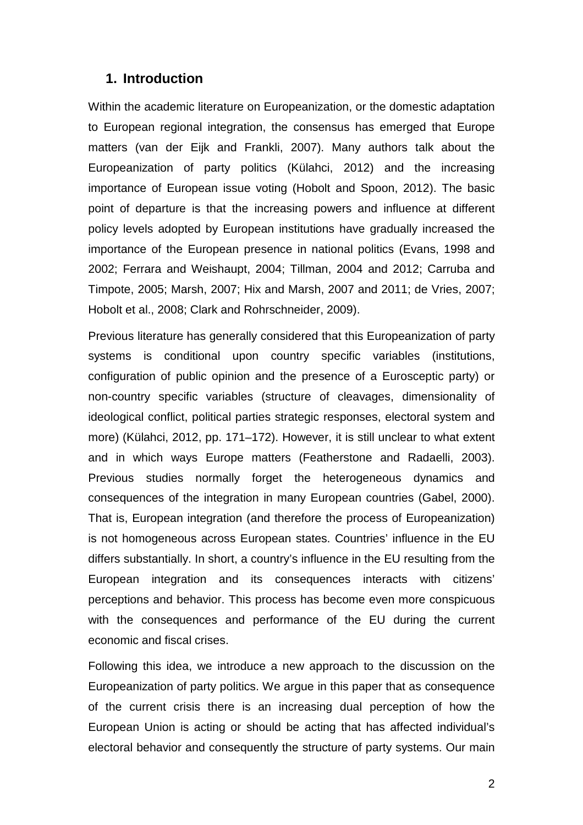### **1. Introduction**

Within the academic literature on Europeanization, or the domestic adaptation to European regional integration, the consensus has emerged that Europe matters (van der Eijk and Frankli, 2007). Many authors talk about the Europeanization of party politics (Külahci, 2012) and the increasing importance of European issue voting (Hobolt and Spoon, 2012). The basic point of departure is that the increasing powers and influence at different policy levels adopted by European institutions have gradually increased the importance of the European presence in national politics (Evans, 1998 and 2002; Ferrara and Weishaupt, 2004; Tillman, 2004 and 2012; Carruba and Timpote, 2005; Marsh, 2007; Hix and Marsh, 2007 and 2011; de Vries, 2007; Hobolt et al., 2008; Clark and Rohrschneider, 2009).

Previous literature has generally considered that this Europeanization of party systems is conditional upon country specific variables (institutions, configuration of public opinion and the presence of a Eurosceptic party) or non-country specific variables (structure of cleavages, dimensionality of ideological conflict, political parties strategic responses, electoral system and more) (Külahci, 2012, pp. 171–172). However, it is still unclear to what extent and in which ways Europe matters (Featherstone and Radaelli, 2003). Previous studies normally forget the heterogeneous dynamics and consequences of the integration in many European countries (Gabel, 2000). That is, European integration (and therefore the process of Europeanization) is not homogeneous across European states. Countries' influence in the EU differs substantially. In short, a country's influence in the EU resulting from the European integration and its consequences interacts with citizens' perceptions and behavior. This process has become even more conspicuous with the consequences and performance of the EU during the current economic and fiscal crises.

Following this idea, we introduce a new approach to the discussion on the Europeanization of party politics. We argue in this paper that as consequence of the current crisis there is an increasing dual perception of how the European Union is acting or should be acting that has affected individual's electoral behavior and consequently the structure of party systems. Our main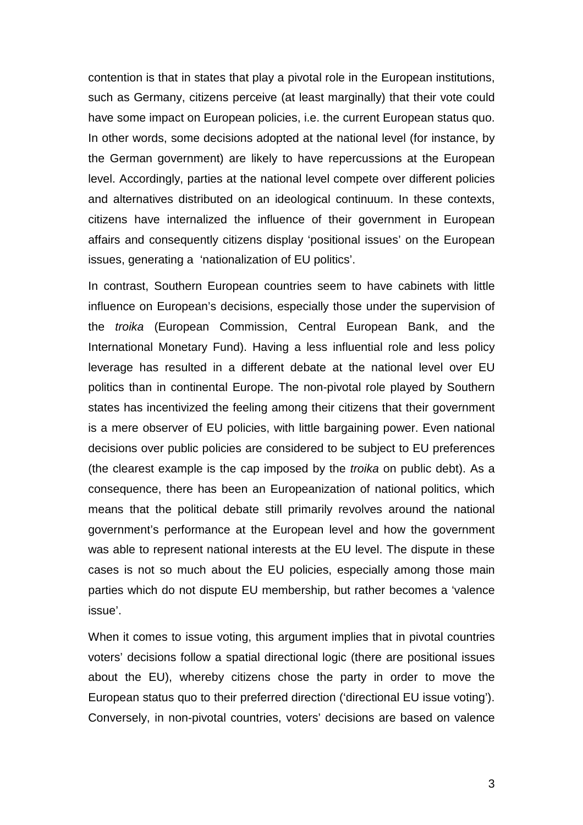contention is that in states that play a pivotal role in the European institutions, such as Germany, citizens perceive (at least marginally) that their vote could have some impact on European policies, i.e. the current European status quo. In other words, some decisions adopted at the national level (for instance, by the German government) are likely to have repercussions at the European level. Accordingly, parties at the national level compete over different policies and alternatives distributed on an ideological continuum. In these contexts, citizens have internalized the influence of their government in European affairs and consequently citizens display 'positional issues' on the European issues, generating a 'nationalization of EU politics'.

In contrast, Southern European countries seem to have cabinets with little influence on European's decisions, especially those under the supervision of the *troika* (European Commission, Central European Bank, and the International Monetary Fund). Having a less influential role and less policy leverage has resulted in a different debate at the national level over EU politics than in continental Europe. The non-pivotal role played by Southern states has incentivized the feeling among their citizens that their government is a mere observer of EU policies, with little bargaining power. Even national decisions over public policies are considered to be subject to EU preferences (the clearest example is the cap imposed by the *troika* on public debt). As a consequence, there has been an Europeanization of national politics, which means that the political debate still primarily revolves around the national government's performance at the European level and how the government was able to represent national interests at the EU level. The dispute in these cases is not so much about the EU policies, especially among those main parties which do not dispute EU membership, but rather becomes a 'valence issue'.

When it comes to issue voting, this argument implies that in pivotal countries voters' decisions follow a spatial directional logic (there are positional issues about the EU), whereby citizens chose the party in order to move the European status quo to their preferred direction ('directional EU issue voting'). Conversely, in non-pivotal countries, voters' decisions are based on valence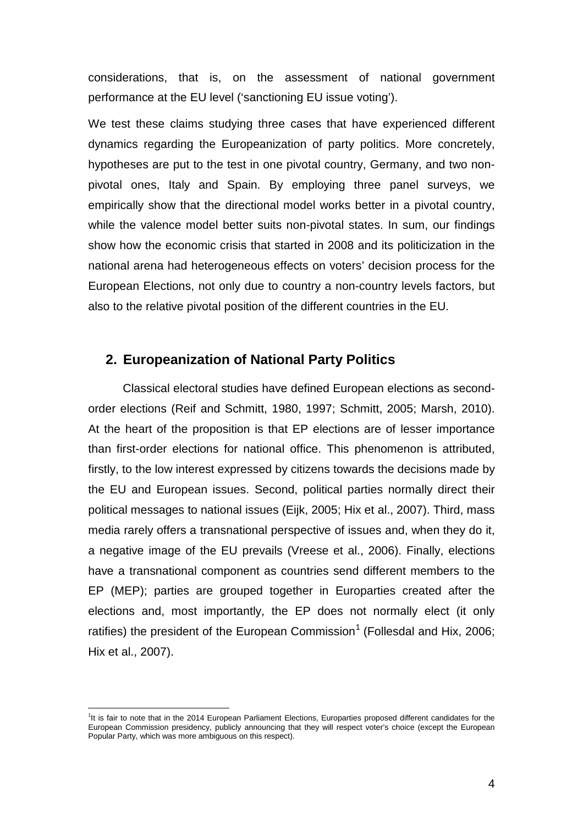considerations, that is, on the assessment of national government performance at the EU level ('sanctioning EU issue voting').

We test these claims studying three cases that have experienced different dynamics regarding the Europeanization of party politics. More concretely, hypotheses are put to the test in one pivotal country, Germany, and two nonpivotal ones, Italy and Spain. By employing three panel surveys, we empirically show that the directional model works better in a pivotal country, while the valence model better suits non-pivotal states. In sum, our findings show how the economic crisis that started in 2008 and its politicization in the national arena had heterogeneous effects on voters' decision process for the European Elections, not only due to country a non-country levels factors, but also to the relative pivotal position of the different countries in the EU.

### **2. Europeanization of National Party Politics**

Classical electoral studies have defined European elections as secondorder elections (Reif and Schmitt, 1980, 1997; Schmitt, 2005; Marsh, 2010). At the heart of the proposition is that EP elections are of lesser importance than first-order elections for national office. This phenomenon is attributed, firstly, to the low interest expressed by citizens towards the decisions made by the EU and European issues. Second, political parties normally direct their political messages to national issues (Eijk, 2005; Hix et al., 2007). Third, mass media rarely offers a transnational perspective of issues and, when they do it, a negative image of the EU prevails (Vreese et al., 2006). Finally, elections have a transnational component as countries send different members to the EP (MEP); parties are grouped together in Europarties created after the elections and, most importantly, the EP does not normally elect (it only ratifies) the president of the European Commission<sup>[1](#page-3-0)</sup> (Follesdal and Hix, 2006; Hix et al., 2007).

<span id="page-3-0"></span><sup>1&</sup>lt;br><sup>1</sup>It is fair to note that in the 2014 European Parliament Elections, Europarties proposed different candidates for the European Commission presidency, publicly announcing that they will respect voter's choice (except the European Popular Party, which was more ambiguous on this respect).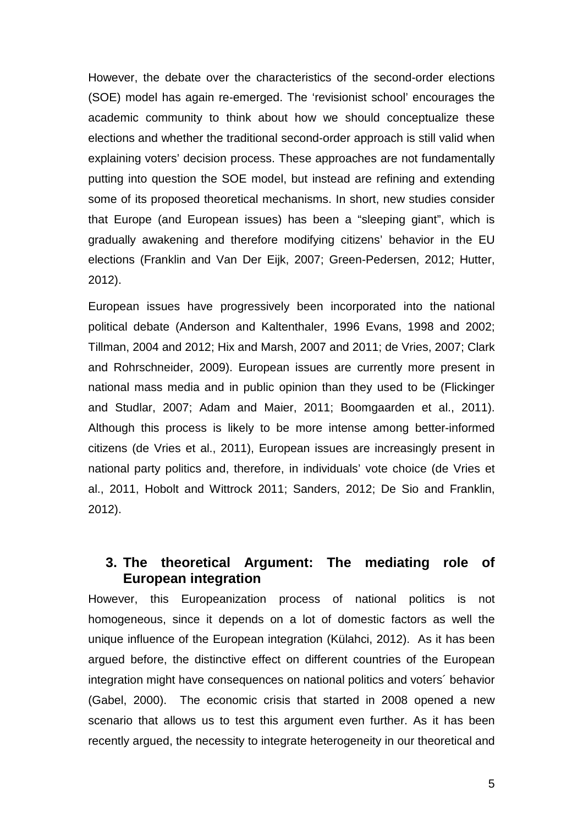However, the debate over the characteristics of the second-order elections (SOE) model has again re-emerged. The 'revisionist school' encourages the academic community to think about how we should conceptualize these elections and whether the traditional second-order approach is still valid when explaining voters' decision process. These approaches are not fundamentally putting into question the SOE model, but instead are refining and extending some of its proposed theoretical mechanisms. In short, new studies consider that Europe (and European issues) has been a "sleeping giant", which is gradually awakening and therefore modifying citizens' behavior in the EU elections (Franklin and Van Der Eijk, 2007; Green-Pedersen, 2012; Hutter, 2012).

European issues have progressively been incorporated into the national political debate (Anderson and Kaltenthaler, 1996 Evans, 1998 and 2002; Tillman, 2004 and 2012; Hix and Marsh, 2007 and 2011; de Vries, 2007; Clark and Rohrschneider, 2009). European issues are currently more present in national mass media and in public opinion than they used to be (Flickinger and Studlar, 2007; Adam and Maier, 2011; Boomgaarden et al., 2011). Although this process is likely to be more intense among better-informed citizens (de Vries et al., 2011), European issues are increasingly present in national party politics and, therefore, in individuals' vote choice (de Vries et al., 2011, Hobolt and Wittrock 2011; Sanders, 2012; De Sio and Franklin, 2012).

## **3. The theoretical Argument: The mediating role of European integration**

However, this Europeanization process of national politics is not homogeneous, since it depends on a lot of domestic factors as well the unique influence of the European integration (Külahci, 2012). As it has been argued before, the distinctive effect on different countries of the European integration might have consequences on national politics and voters´ behavior (Gabel, 2000). The economic crisis that started in 2008 opened a new scenario that allows us to test this argument even further. As it has been recently argued, the necessity to integrate heterogeneity in our theoretical and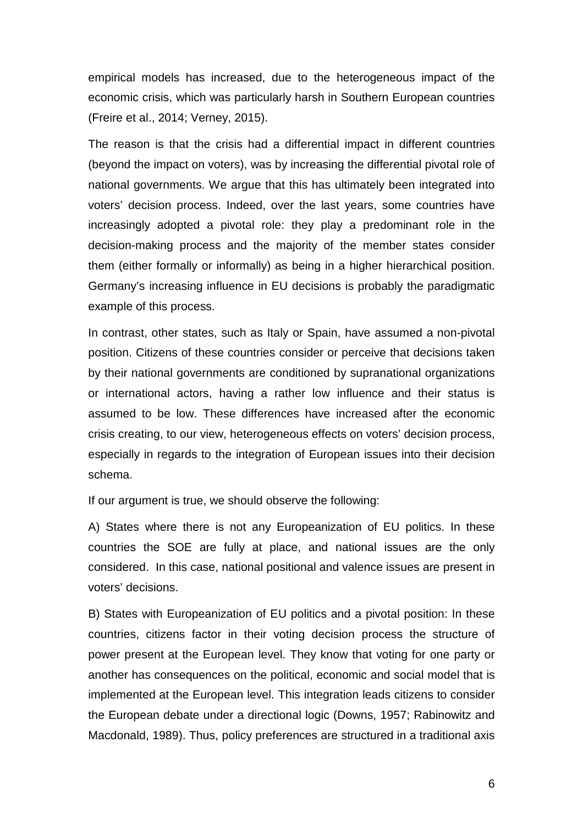empirical models has increased, due to the heterogeneous impact of the economic crisis, which was particularly harsh in Southern European countries (Freire et al., 2014; Verney, 2015).

The reason is that the crisis had a differential impact in different countries (beyond the impact on voters), was by increasing the differential pivotal role of national governments. We argue that this has ultimately been integrated into voters' decision process. Indeed, over the last years, some countries have increasingly adopted a pivotal role: they play a predominant role in the decision-making process and the majority of the member states consider them (either formally or informally) as being in a higher hierarchical position. Germany's increasing influence in EU decisions is probably the paradigmatic example of this process.

In contrast, other states, such as Italy or Spain, have assumed a non-pivotal position. Citizens of these countries consider or perceive that decisions taken by their national governments are conditioned by supranational organizations or international actors, having a rather low influence and their status is assumed to be low. These differences have increased after the economic crisis creating, to our view, heterogeneous effects on voters' decision process, especially in regards to the integration of European issues into their decision schema.

If our argument is true, we should observe the following:

A) States where there is not any Europeanization of EU politics. In these countries the SOE are fully at place, and national issues are the only considered. In this case, national positional and valence issues are present in voters' decisions.

B) States with Europeanization of EU politics and a pivotal position: In these countries, citizens factor in their voting decision process the structure of power present at the European level. They know that voting for one party or another has consequences on the political, economic and social model that is implemented at the European level. This integration leads citizens to consider the European debate under a directional logic (Downs, 1957; Rabinowitz and Macdonald, 1989). Thus, policy preferences are structured in a traditional axis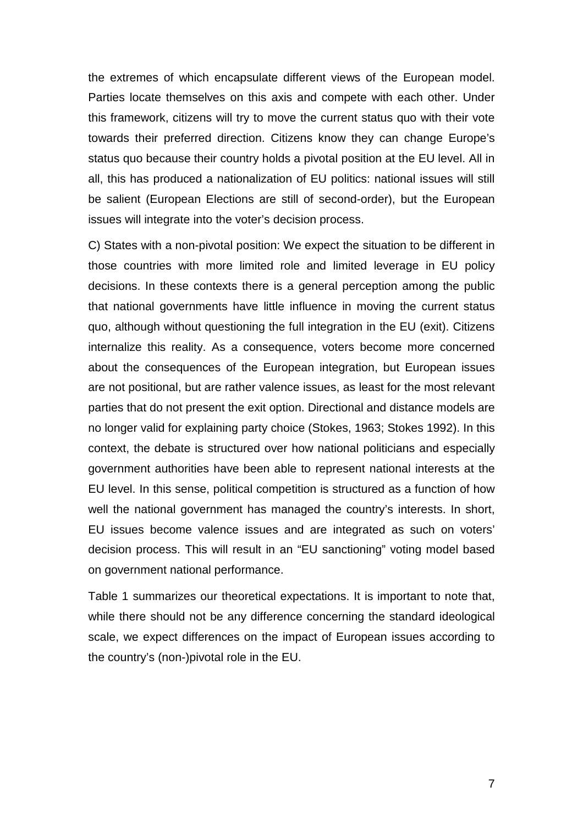the extremes of which encapsulate different views of the European model. Parties locate themselves on this axis and compete with each other. Under this framework, citizens will try to move the current status quo with their vote towards their preferred direction. Citizens know they can change Europe's status quo because their country holds a pivotal position at the EU level. All in all, this has produced a nationalization of EU politics: national issues will still be salient (European Elections are still of second-order), but the European issues will integrate into the voter's decision process.

C) States with a non-pivotal position: We expect the situation to be different in those countries with more limited role and limited leverage in EU policy decisions. In these contexts there is a general perception among the public that national governments have little influence in moving the current status quo, although without questioning the full integration in the EU (exit). Citizens internalize this reality. As a consequence, voters become more concerned about the consequences of the European integration, but European issues are not positional, but are rather valence issues, as least for the most relevant parties that do not present the exit option. Directional and distance models are no longer valid for explaining party choice (Stokes, 1963; Stokes 1992). In this context, the debate is structured over how national politicians and especially government authorities have been able to represent national interests at the EU level. In this sense, political competition is structured as a function of how well the national government has managed the country's interests. In short, EU issues become valence issues and are integrated as such on voters' decision process. This will result in an "EU sanctioning" voting model based on government national performance.

Table 1 summarizes our theoretical expectations. It is important to note that, while there should not be any difference concerning the standard ideological scale, we expect differences on the impact of European issues according to the country's (non-)pivotal role in the EU.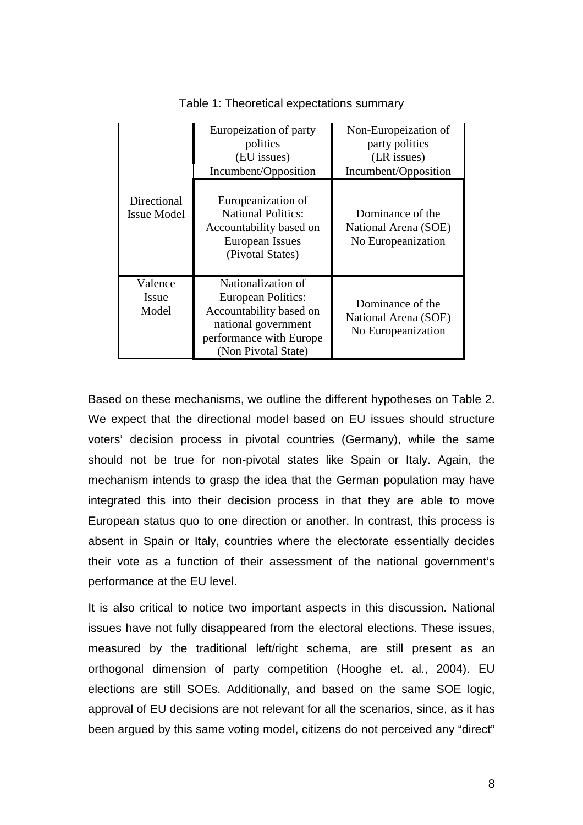|                                   | Europeization of party<br>politics<br>(EU issues)<br>Incumbent/Opposition                                                                    | Non-Europeization of<br>party politics<br>(LR issues)<br>Incumbent/Opposition |
|-----------------------------------|----------------------------------------------------------------------------------------------------------------------------------------------|-------------------------------------------------------------------------------|
| Directional<br><b>Issue Model</b> | Europeanization of<br><b>National Politics:</b><br>Accountability based on<br>European Issues<br>(Pivotal States)                            | Dominance of the<br>National Arena (SOE)<br>No Europeanization                |
| Valence<br>Issue<br>Model         | Nationalization of<br>European Politics:<br>Accountability based on<br>national government<br>performance with Europe<br>(Non Pivotal State) | Dominance of the<br>National Arena (SOE)<br>No Europeanization                |

Based on these mechanisms, we outline the different hypotheses on Table 2. We expect that the directional model based on EU issues should structure voters' decision process in pivotal countries (Germany), while the same should not be true for non-pivotal states like Spain or Italy. Again, the mechanism intends to grasp the idea that the German population may have integrated this into their decision process in that they are able to move European status quo to one direction or another. In contrast, this process is absent in Spain or Italy, countries where the electorate essentially decides their vote as a function of their assessment of the national government's performance at the EU level.

It is also critical to notice two important aspects in this discussion. National issues have not fully disappeared from the electoral elections. These issues, measured by the traditional left/right schema, are still present as an orthogonal dimension of party competition (Hooghe et. al., 2004). EU elections are still SOEs. Additionally, and based on the same SOE logic, approval of EU decisions are not relevant for all the scenarios, since, as it has been argued by this same voting model, citizens do not perceived any "direct"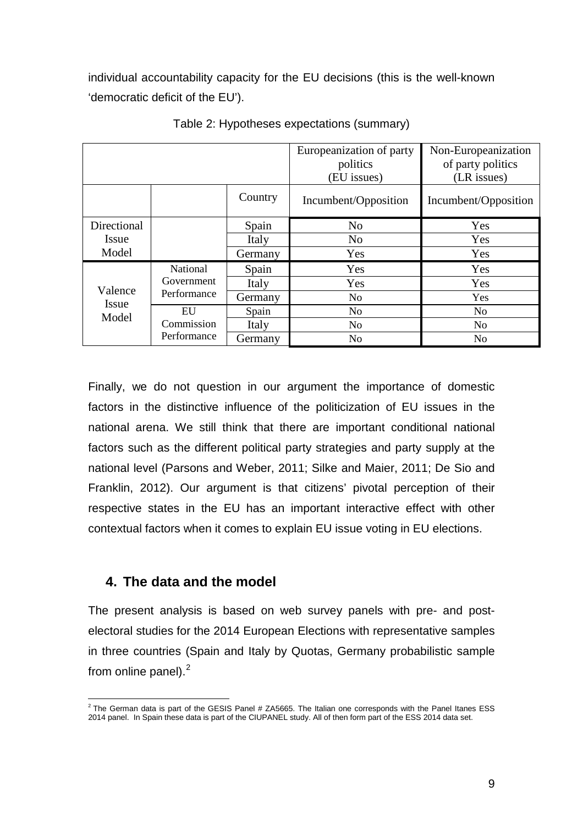individual accountability capacity for the EU decisions (this is the well-known 'democratic deficit of the EU').

|              |                  |         | Europeanization of party | Non-Europeanization  |
|--------------|------------------|---------|--------------------------|----------------------|
|              |                  |         | politics                 | of party politics    |
|              |                  |         | (EU issues)              | (LR issues)          |
|              |                  | Country | Incumbent/Opposition     | Incumbent/Opposition |
| Directional  |                  | Spain   | N <sub>o</sub>           | Yes                  |
| <i>Issue</i> |                  | Italy   | N <sub>o</sub>           | Yes                  |
| Model        |                  | Germany | Yes                      | Yes                  |
|              | National         | Spain   | Yes                      | Yes                  |
| Valence      | Government       | Italy   | Yes                      | Yes                  |
| Issue        | Performance      | Germany | N <sub>o</sub>           | Yes                  |
| Model        | EU<br>Commission | Spain   | N <sub>o</sub>           | N <sub>o</sub>       |
|              |                  | Italy   | N <sub>0</sub>           | N <sub>0</sub>       |
|              | Performance      | Germany | No                       | N <sub>o</sub>       |

Table 2: Hypotheses expectations (summary)

Finally, we do not question in our argument the importance of domestic factors in the distinctive influence of the politicization of EU issues in the national arena. We still think that there are important conditional national factors such as the different political party strategies and party supply at the national level (Parsons and Weber, 2011; Silke and Maier, 2011; De Sio and Franklin, 2012). Our argument is that citizens' pivotal perception of their respective states in the EU has an important interactive effect with other contextual factors when it comes to explain EU issue voting in EU elections.

## **4. The data and the model**

The present analysis is based on web survey panels with pre- and postelectoral studies for the 2014 European Elections with representative samples in three countries (Spain and Italy by Quotas, Germany probabilistic sample from online panel).<sup>[2](#page-8-0)</sup>

<span id="page-8-0"></span> $2$  The German data is part of the GESIS Panel # ZA5665. The Italian one corresponds with the Panel Itanes ESS 2014 panel. In Spain these data is part of the CIUPANEL study. All of then form part of the ESS 2014 data set.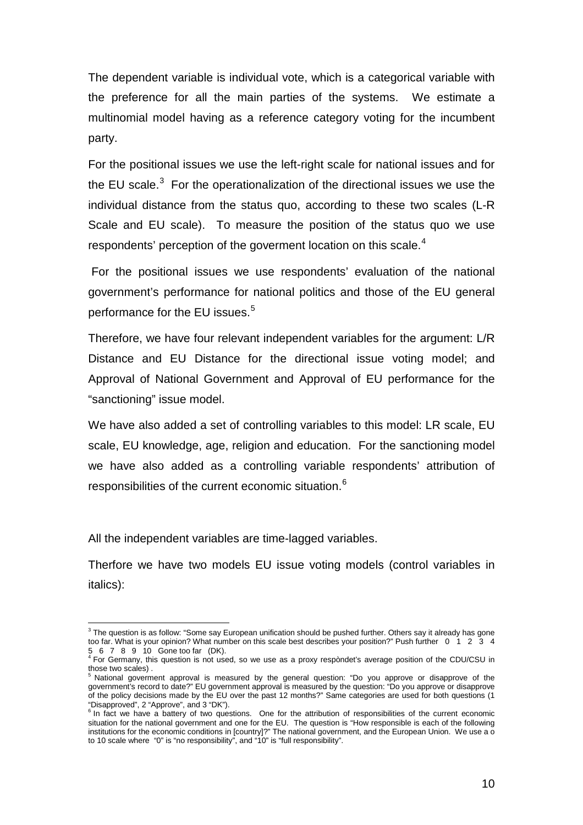The dependent variable is individual vote, which is a categorical variable with the preference for all the main parties of the systems. We estimate a multinomial model having as a reference category voting for the incumbent party.

For the positional issues we use the left-right scale for national issues and for the EU scale.<sup>[3](#page-9-0)</sup> For the operationalization of the directional issues we use the individual distance from the status quo, according to these two scales (L-R Scale and EU scale). To measure the position of the status quo we use respondents' perception of the goverment location on this scale. $^{\rm 4}$  $^{\rm 4}$  $^{\rm 4}$ 

For the positional issues we use respondents' evaluation of the national government's performance for national politics and those of the EU general performance for the EU issues.<sup>[5](#page-9-2)</sup>

Therefore, we have four relevant independent variables for the argument: L/R Distance and EU Distance for the directional issue voting model; and Approval of National Government and Approval of EU performance for the "sanctioning" issue model.

We have also added a set of controlling variables to this model: LR scale, EU scale, EU knowledge, age, religion and education. For the sanctioning model we have also added as a controlling variable respondents' attribution of responsibilities of the current economic situation.<sup>[6](#page-9-3)</sup>

All the independent variables are time-lagged variables.

Therfore we have two models EU issue voting models (control variables in italics):

<span id="page-9-0"></span> $3$  The question is as follow: "Some say European unification should be pushed further. Others say it already has gone too far. What is your opinion? What number on this scale best describes your position?" Push further 0 1 2 3 4

<span id="page-9-1"></span><sup>5 6 7 8 9 10</sup> Gone too far (DK). <sup>4</sup> For Germany, this question is not used, so we use as a proxy respòndet's average position of the CDU/CSU in those two scales).

<span id="page-9-2"></span>National goverment approval is measured by the general question: "Do you approve or disapprove of the government's record to date?" EU government approval is measured by the question: "Do you approve or disapprove of the policy decisions made by the EU over the past 12 months?" Same categories are used for both questions (1

<span id="page-9-3"></span><sup>&</sup>quot;Disapproved", 2 "Approve", and 3 "DK").<br><sup>6</sup> In fact we have a battery of two questions. One for the attribution of responsibilities of the current economic situation for the national government and one for the EU. The question is "How responsible is each of the following institutions for the economic conditions in [country]?" The national government, and the European Union. We use a o to 10 scale where "0" is "no responsibility", and "10" is "full responsibility".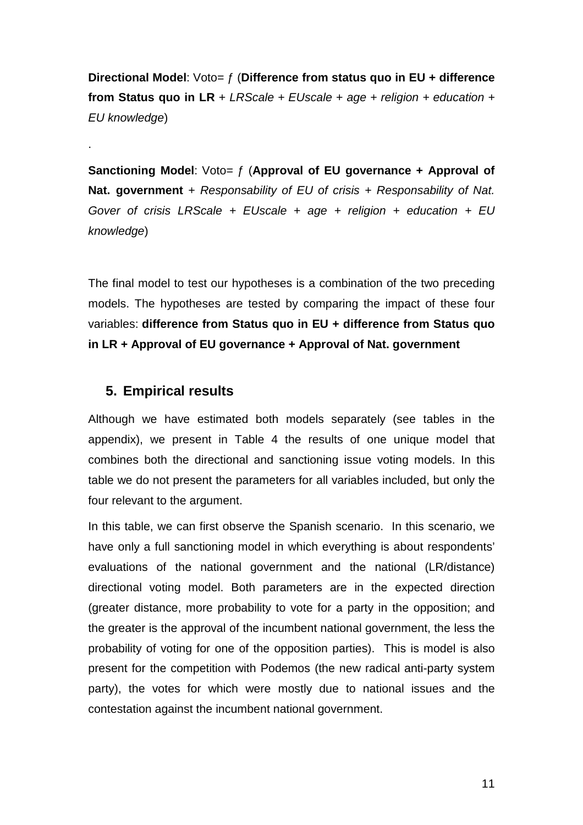**Directional Model**: Voto= ƒ (**Difference from status quo in EU + difference from Status quo in LR** + *LRScale + EUscale* + *age + religion + education + EU knowledge*)

**Sanctioning Model**: Voto= ƒ (**Approval of EU governance + Approval of Nat. government** *+ Responsability of EU of crisis + Responsability of Nat. Gover of crisis LRScale + EUscale* + *age + religion + education + EU knowledge*)

The final model to test our hypotheses is a combination of the two preceding models. The hypotheses are tested by comparing the impact of these four variables: **difference from Status quo in EU + difference from Status quo in LR + Approval of EU governance + Approval of Nat. government**

## **5. Empirical results**

.

Although we have estimated both models separately (see tables in the appendix), we present in Table 4 the results of one unique model that combines both the directional and sanctioning issue voting models. In this table we do not present the parameters for all variables included, but only the four relevant to the argument.

In this table, we can first observe the Spanish scenario. In this scenario, we have only a full sanctioning model in which everything is about respondents' evaluations of the national government and the national (LR/distance) directional voting model. Both parameters are in the expected direction (greater distance, more probability to vote for a party in the opposition; and the greater is the approval of the incumbent national government, the less the probability of voting for one of the opposition parties). This is model is also present for the competition with Podemos (the new radical anti-party system party), the votes for which were mostly due to national issues and the contestation against the incumbent national government.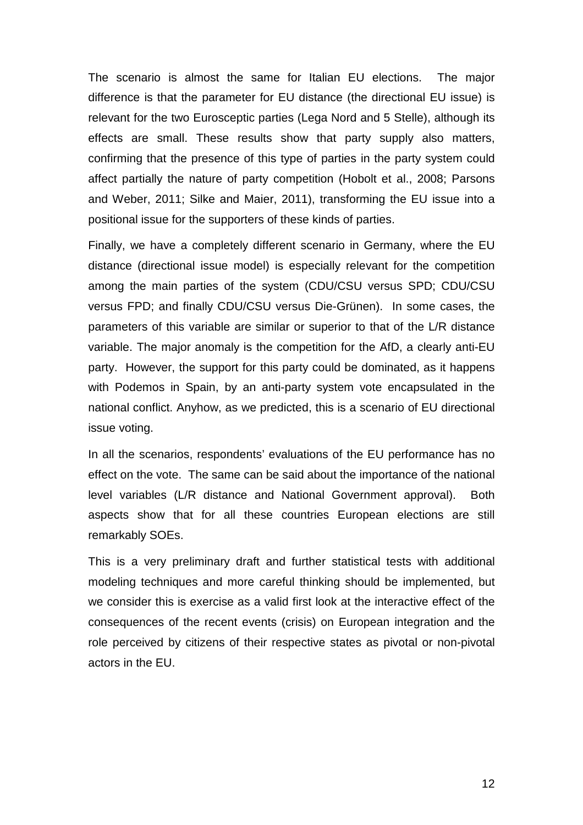The scenario is almost the same for Italian EU elections. The major difference is that the parameter for EU distance (the directional EU issue) is relevant for the two Eurosceptic parties (Lega Nord and 5 Stelle), although its effects are small. These results show that party supply also matters, confirming that the presence of this type of parties in the party system could affect partially the nature of party competition (Hobolt et al., 2008; Parsons and Weber, 2011; Silke and Maier, 2011), transforming the EU issue into a positional issue for the supporters of these kinds of parties.

Finally, we have a completely different scenario in Germany, where the EU distance (directional issue model) is especially relevant for the competition among the main parties of the system (CDU/CSU versus SPD; CDU/CSU versus FPD; and finally CDU/CSU versus Die-Grünen). In some cases, the parameters of this variable are similar or superior to that of the L/R distance variable. The major anomaly is the competition for the AfD, a clearly anti-EU party. However, the support for this party could be dominated, as it happens with Podemos in Spain, by an anti-party system vote encapsulated in the national conflict. Anyhow, as we predicted, this is a scenario of EU directional issue voting.

In all the scenarios, respondents' evaluations of the EU performance has no effect on the vote. The same can be said about the importance of the national level variables (L/R distance and National Government approval). Both aspects show that for all these countries European elections are still remarkably SOEs.

This is a very preliminary draft and further statistical tests with additional modeling techniques and more careful thinking should be implemented, but we consider this is exercise as a valid first look at the interactive effect of the consequences of the recent events (crisis) on European integration and the role perceived by citizens of their respective states as pivotal or non-pivotal actors in the EU.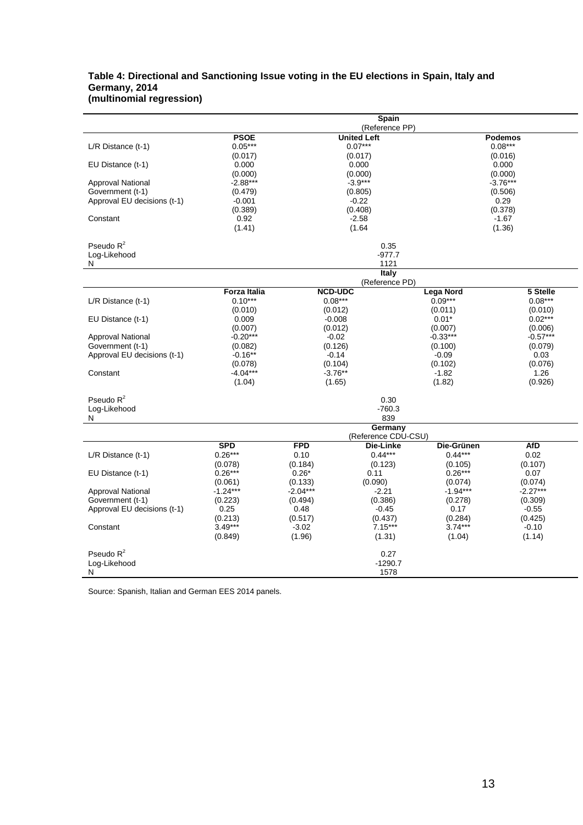### **Table 4: Directional and Sanctioning Issue voting in the EU elections in Spain, Italy and Germany, 2014 (multinomial regression)**

|                                       | Spain<br>(Reference PP) |                                                     |                                  |                      |                      |  |
|---------------------------------------|-------------------------|-----------------------------------------------------|----------------------------------|----------------------|----------------------|--|
|                                       |                         | <b>PSOE</b><br><b>United Left</b><br><b>Podemos</b> |                                  |                      |                      |  |
| $L/R$ Distance $(t-1)$                | $0.05***$               |                                                     | $0.07***$                        |                      | $0.08***$            |  |
|                                       | (0.017)                 | (0.017)                                             |                                  |                      | (0.016)              |  |
| EU Distance (t-1)                     | 0.000                   |                                                     | 0.000                            |                      | 0.000                |  |
|                                       | (0.000)                 |                                                     | (0.000)                          |                      | (0.000)              |  |
| Approval National<br>Government (t-1) | $-2.88***$<br>(0.479)   |                                                     | $-3.9***$<br>(0.805)             |                      | $-3.76***$           |  |
| Approval EU decisions (t-1)           | $-0.001$                |                                                     | $-0.22$                          |                      | (0.506)<br>0.29      |  |
|                                       | (0.389)                 |                                                     | (0.408)                          |                      | (0.378)              |  |
| Constant                              | 0.92                    |                                                     | $-2.58$                          |                      | $-1.67$              |  |
|                                       | (1.41)                  |                                                     | (1.64)                           |                      | (1.36)               |  |
| Pseudo $R^2$                          |                         |                                                     | 0.35                             |                      |                      |  |
| Log-Likehood                          |                         |                                                     | $-977.7$                         |                      |                      |  |
| N                                     |                         |                                                     | 1121                             |                      |                      |  |
|                                       |                         |                                                     | Italy                            |                      |                      |  |
|                                       |                         |                                                     | (Reference PD)                   |                      |                      |  |
|                                       | <b>Forza Italia</b>     | <b>NCD-UDC</b>                                      |                                  | <b>Lega Nord</b>     | 5 Stelle             |  |
| $L/R$ Distance $(t-1)$                | $0.10***$<br>(0.010)    | $0.08***$<br>(0.012)                                |                                  | $0.09***$<br>(0.011) | $0.08***$<br>(0.010) |  |
| EU Distance (t-1)                     | 0.009                   | $-0.008$                                            |                                  | $0.01*$              | $0.02***$            |  |
|                                       | (0.007)                 | (0.012)                                             |                                  | (0.007)              | (0.006)              |  |
| <b>Approval National</b>              | $-0.20***$              | $-0.02$                                             |                                  | $-0.33***$           | $-0.57***$           |  |
| Government (t-1)                      | (0.082)                 | (0.126)                                             |                                  | (0.100)              | (0.079)              |  |
| Approval EU decisions (t-1)           | $-0.16**$               | $-0.14$                                             |                                  | $-0.09$              | 0.03                 |  |
|                                       | (0.078)                 | (0.104)                                             |                                  | (0.102)              | (0.076)              |  |
| Constant                              | $-4.04***$              | $-3.76**$                                           |                                  | $-1.82$              | 1.26                 |  |
|                                       | (1.04)                  | (1.65)                                              |                                  | (1.82)               | (0.926)              |  |
| Pseudo $R^2$                          |                         |                                                     | 0.30                             |                      |                      |  |
| Log-Likehood                          |                         |                                                     | $-760.3$                         |                      |                      |  |
| N                                     |                         |                                                     | 839                              |                      |                      |  |
|                                       |                         |                                                     | Germany                          |                      |                      |  |
|                                       | <b>SPD</b>              | <b>FPD</b>                                          | (Reference CDU-CSU)<br>Die-Linke | Die-Grünen           | <b>AfD</b>           |  |
| $L/R$ Distance $(t-1)$                | $0.26***$               | 0.10                                                | $0.44***$                        | $0.44***$            | 0.02                 |  |
|                                       | (0.078)                 | (0.184)                                             | (0.123)                          | (0.105)              | (0.107)              |  |
| EU Distance (t-1)                     | $0.26***$               | $0.26*$                                             | 0.11                             | $0.26***$            | 0.07                 |  |
|                                       | (0.061)                 | (0.133)                                             | (0.090)                          | (0.074)              | (0.074)              |  |
| <b>Approval National</b>              | $-1.24***$              | $-2.04***$                                          | $-2.21$                          | $-1.94***$           | $-2.27***$           |  |
| Government (t-1)                      | (0.223)                 | (0.494)<br>(0.386)                                  |                                  | (0.278)              | (0.309)              |  |
| Approval EU decisions (t-1)           | 0.25                    | 0.48<br>$-0.45$                                     |                                  | 0.17                 | $-0.55$              |  |
| Constant                              | (0.213)<br>$3.49***$    | (0.517)<br>(0.437)                                  |                                  | (0.284)<br>$3.74***$ | (0.425)<br>$-0.10$   |  |
|                                       | (0.849)                 | 7.15***<br>$-3.02$<br>(1.96)<br>(1.31)              |                                  | (1.04)               | (1.14)               |  |
|                                       |                         |                                                     |                                  |                      |                      |  |
| Pseudo $R^2$                          |                         |                                                     | 0.27                             |                      |                      |  |
| Log-Likehood                          |                         |                                                     | $-1290.7$                        |                      |                      |  |
| N                                     |                         |                                                     | 1578                             |                      |                      |  |

Source: Spanish, Italian and German EES 2014 panels.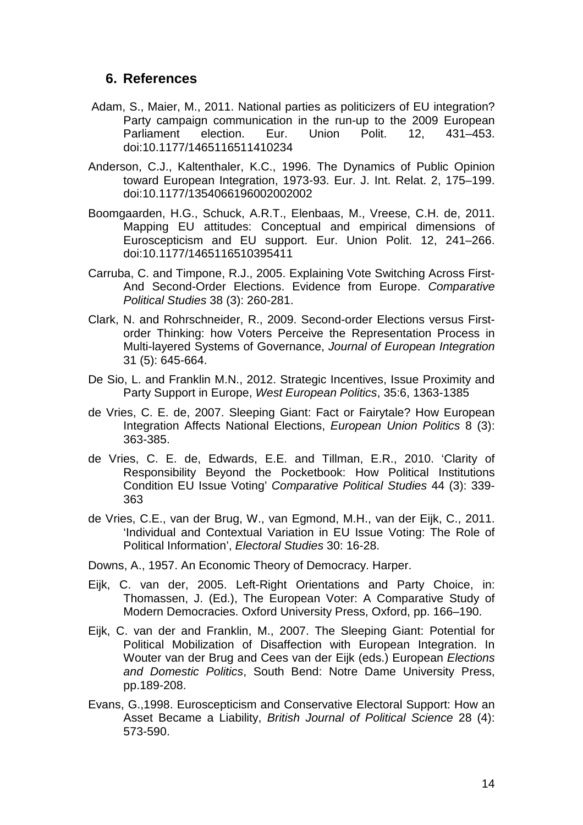### **6. References**

- Adam, S., Maier, M., 2011. National parties as politicizers of EU integration? Party campaign communication in the run-up to the 2009 European<br>Parliament election. Eur. Union Polit. 12, 431–453. Parliament doi:10.1177/1465116511410234
- Anderson, C.J., Kaltenthaler, K.C., 1996. The Dynamics of Public Opinion toward European Integration, 1973-93. Eur. J. Int. Relat. 2, 175–199. doi:10.1177/1354066196002002002
- Boomgaarden, H.G., Schuck, A.R.T., Elenbaas, M., Vreese, C.H. de, 2011. Mapping EU attitudes: Conceptual and empirical dimensions of Euroscepticism and EU support. Eur. Union Polit. 12, 241–266. doi:10.1177/1465116510395411
- Carruba, C. and Timpone, R.J., 2005. Explaining Vote Switching Across First-And Second-Order Elections. Evidence from Europe. *Comparative Political Studies* 38 (3): 260-281.
- Clark, N. and Rohrschneider, R., 2009. Second-order Elections versus Firstorder Thinking: how Voters Perceive the Representation Process in Multi-layered Systems of Governance, *Journal of European Integration* 31 (5): 645-664.
- De Sio, L. and Franklin M.N., 2012. Strategic Incentives, Issue Proximity and Party Support in Europe, *West European Politics*, 35:6, 1363-1385
- de Vries, C. E. de, 2007. Sleeping Giant: Fact or Fairytale? How European Integration Affects National Elections, *European Union Politics* 8 (3): 363-385.
- de Vries, C. E. de, Edwards, E.E. and Tillman, E.R., 2010. 'Clarity of Responsibility Beyond the Pocketbook: How Political Institutions Condition EU Issue Voting' *Comparative Political Studies* 44 (3): 339- 363
- de Vries, C.E., van der Brug, W., van Egmond, M.H., van der Eijk, C., 2011. 'Individual and Contextual Variation in EU Issue Voting: The Role of Political Information', *Electoral Studies* 30: 16-28.
- Downs, A., 1957. An Economic Theory of Democracy. Harper.
- Eijk, C. van der, 2005. Left-Right Orientations and Party Choice, in: Thomassen, J. (Ed.), The European Voter: A Comparative Study of Modern Democracies. Oxford University Press, Oxford, pp. 166–190.
- Eijk, C. van der and Franklin, M., 2007. The Sleeping Giant: Potential for Political Mobilization of Disaffection with European Integration. In Wouter van der Brug and Cees van der Eijk (eds.) European *Elections and Domestic Politics*, South Bend: Notre Dame University Press, pp.189-208.
- Evans, G.,1998. Euroscepticism and Conservative Electoral Support: How an Asset Became a Liability, *British Journal of Political Science* 28 (4): 573-590.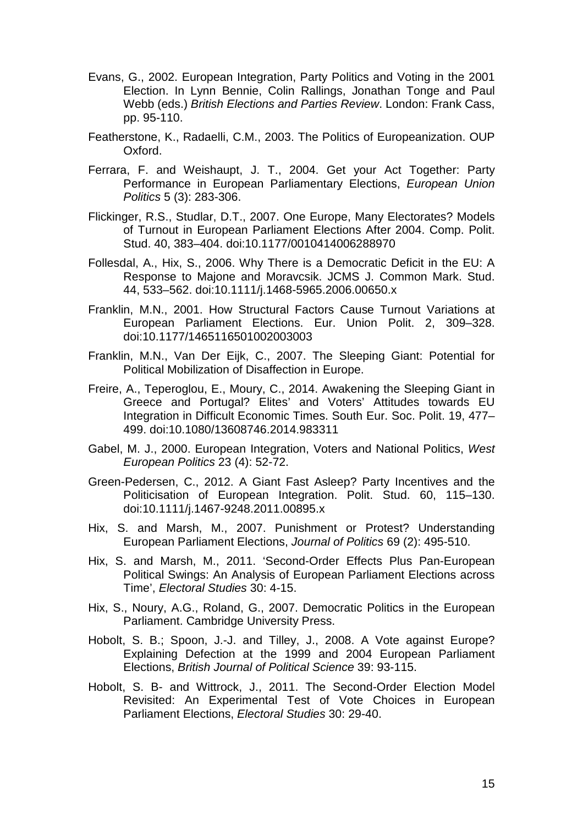- Evans, G., 2002. European Integration, Party Politics and Voting in the 2001 Election. In Lynn Bennie, Colin Rallings, Jonathan Tonge and Paul Webb (eds.) *British Elections and Parties Review*. London: Frank Cass, pp. 95-110.
- Featherstone, K., Radaelli, C.M., 2003. The Politics of Europeanization. OUP Oxford.
- Ferrara, F. and Weishaupt, J. T., 2004. Get your Act Together: Party Performance in European Parliamentary Elections, *European Union Politics* 5 (3): 283-306.
- Flickinger, R.S., Studlar, D.T., 2007. One Europe, Many Electorates? Models of Turnout in European Parliament Elections After 2004. Comp. Polit. Stud. 40, 383–404. doi:10.1177/0010414006288970
- Follesdal, A., Hix, S., 2006. Why There is a Democratic Deficit in the EU: A Response to Majone and Moravcsik. JCMS J. Common Mark. Stud. 44, 533–562. doi:10.1111/j.1468-5965.2006.00650.x
- Franklin, M.N., 2001. How Structural Factors Cause Turnout Variations at European Parliament Elections. Eur. Union Polit. 2, 309–328. doi:10.1177/1465116501002003003
- Franklin, M.N., Van Der Eijk, C., 2007. The Sleeping Giant: Potential for Political Mobilization of Disaffection in Europe.
- Freire, A., Teperoglou, E., Moury, C., 2014. Awakening the Sleeping Giant in Greece and Portugal? Elites' and Voters' Attitudes towards EU Integration in Difficult Economic Times. South Eur. Soc. Polit. 19, 477– 499. doi:10.1080/13608746.2014.983311
- Gabel, M. J., 2000. European Integration, Voters and National Politics, *West European Politics* 23 (4): 52-72.
- Green-Pedersen, C., 2012. A Giant Fast Asleep? Party Incentives and the Politicisation of European Integration. Polit. Stud. 60, 115–130. doi:10.1111/j.1467-9248.2011.00895.x
- Hix, S. and Marsh, M., 2007. Punishment or Protest? Understanding European Parliament Elections, *Journal of Politics* 69 (2): 495-510.
- Hix, S. and Marsh, M., 2011. 'Second-Order Effects Plus Pan-European Political Swings: An Analysis of European Parliament Elections across Time', *Electoral Studies* 30: 4-15.
- Hix, S., Noury, A.G., Roland, G., 2007. Democratic Politics in the European Parliament. Cambridge University Press.
- Hobolt, S. B.; Spoon, J.-J. and Tilley, J., 2008. A Vote against Europe? Explaining Defection at the 1999 and 2004 European Parliament Elections, *British Journal of Political Science* 39: 93-115.
- Hobolt, S. B- and Wittrock, J., 2011. The Second-Order Election Model Revisited: An Experimental Test of Vote Choices in European Parliament Elections, *Electoral Studies* 30: 29-40.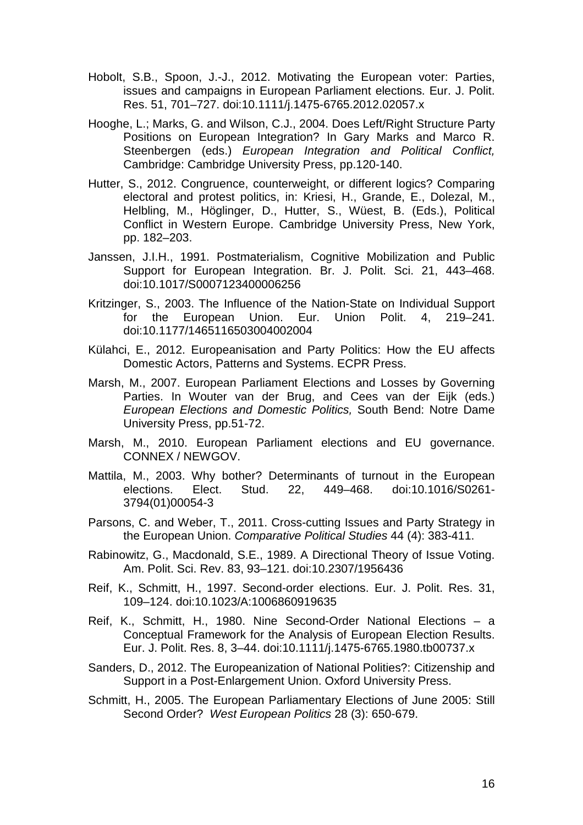- Hobolt, S.B., Spoon, J.-J., 2012. Motivating the European voter: Parties, issues and campaigns in European Parliament elections. Eur. J. Polit. Res. 51, 701–727. doi:10.1111/j.1475-6765.2012.02057.x
- Hooghe, L.; Marks, G. and Wilson, C.J., 2004. Does Left/Right Structure Party Positions on European Integration? In Gary Marks and Marco R. Steenbergen (eds.) *European Integration and Political Conflict,* Cambridge: Cambridge University Press, pp.120-140.
- Hutter, S., 2012. Congruence, counterweight, or different logics? Comparing electoral and protest politics, in: Kriesi, H., Grande, E., Dolezal, M., Helbling, M., Höglinger, D., Hutter, S., Wüest, B. (Eds.), Political Conflict in Western Europe. Cambridge University Press, New York, pp. 182–203.
- Janssen, J.I.H., 1991. Postmaterialism, Cognitive Mobilization and Public Support for European Integration. Br. J. Polit. Sci. 21, 443–468. doi:10.1017/S0007123400006256
- Kritzinger, S., 2003. The Influence of the Nation-State on Individual Support for the European Union. Eur. Union Polit. 4, 219–241. doi:10.1177/1465116503004002004
- Külahci, E., 2012. Europeanisation and Party Politics: How the EU affects Domestic Actors, Patterns and Systems. ECPR Press.
- Marsh, M., 2007. European Parliament Elections and Losses by Governing Parties. In Wouter van der Brug, and Cees van der Eijk (eds.) *European Elections and Domestic Politics,* South Bend: Notre Dame University Press, pp.51-72.
- Marsh, M., 2010. European Parliament elections and EU governance. CONNEX / NEWGOV.
- Mattila, M., 2003. Why bother? Determinants of turnout in the European elections. Elect. Stud. 22, 449–468. doi:10.1016/S0261- 3794(01)00054-3
- Parsons, C. and Weber, T., 2011. Cross-cutting Issues and Party Strategy in the European Union. *Comparative Political Studies* 44 (4): 383-411.
- Rabinowitz, G., Macdonald, S.E., 1989. A Directional Theory of Issue Voting. Am. Polit. Sci. Rev. 83, 93–121. doi:10.2307/1956436
- Reif, K., Schmitt, H., 1997. Second-order elections. Eur. J. Polit. Res. 31, 109–124. doi:10.1023/A:1006860919635
- Reif, K., Schmitt, H., 1980. Nine Second-Order National Elections a Conceptual Framework for the Analysis of European Election Results. Eur. J. Polit. Res. 8, 3–44. doi:10.1111/j.1475-6765.1980.tb00737.x
- Sanders, D., 2012. The Europeanization of National Polities?: Citizenship and Support in a Post-Enlargement Union. Oxford University Press.
- Schmitt, H., 2005. The European Parliamentary Elections of June 2005: Still Second Order? *West European Politics* 28 (3): 650-679.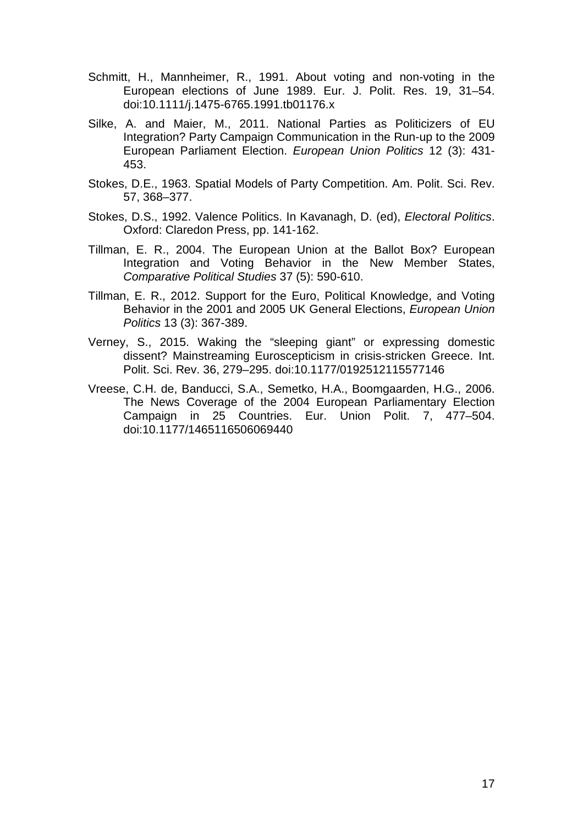- Schmitt, H., Mannheimer, R., 1991. About voting and non-voting in the European elections of June 1989. Eur. J. Polit. Res. 19, 31–54. doi:10.1111/j.1475-6765.1991.tb01176.x
- Silke, A. and Maier, M., 2011. National Parties as Politicizers of EU Integration? Party Campaign Communication in the Run-up to the 2009 European Parliament Election. *European Union Politics* 12 (3): 431- 453.
- Stokes, D.E., 1963. Spatial Models of Party Competition. Am. Polit. Sci. Rev. 57, 368–377.
- Stokes, D.S., 1992. Valence Politics. In Kavanagh, D. (ed), *Electoral Politics*. Oxford: Claredon Press, pp. 141-162.
- Tillman, E. R., 2004. The European Union at the Ballot Box? European Integration and Voting Behavior in the New Member States, *Comparative Political Studies* 37 (5): 590-610.
- Tillman, E. R., 2012. Support for the Euro, Political Knowledge, and Voting Behavior in the 2001 and 2005 UK General Elections, *European Union Politics* 13 (3): 367-389.
- Verney, S., 2015. Waking the "sleeping giant" or expressing domestic dissent? Mainstreaming Euroscepticism in crisis-stricken Greece. Int. Polit. Sci. Rev. 36, 279–295. doi:10.1177/0192512115577146
- Vreese, C.H. de, Banducci, S.A., Semetko, H.A., Boomgaarden, H.G., 2006. The News Coverage of the 2004 European Parliamentary Election Campaign in 25 Countries. Eur. Union Polit. 7, 477–504. doi:10.1177/1465116506069440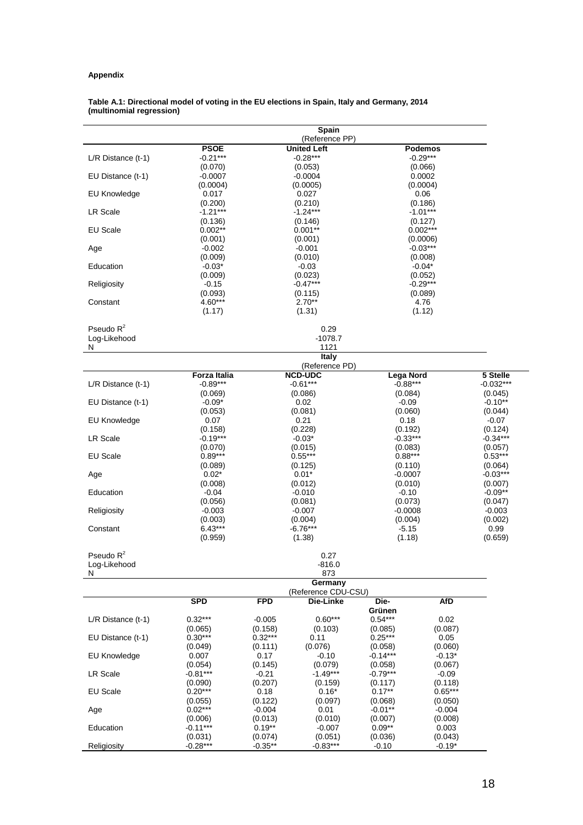### **Appendix**

#### **Table A.1: Directional model of voting in the EU elections in Spain, Italy and Germany, 2014 (multinomial regression)**

| <b>PSOE</b><br><b>United Left</b><br>Podemos<br>$-0.21***$<br>$-0.28***$<br>$-0.29***$<br>$L/R$ Distance (t-1)<br>(0.070)<br>(0.053)<br>(0.066)<br>EU Distance (t-1)<br>-0.0007<br>$-0.0004$<br>0.0002<br>(0.0004)<br>(0.0005)<br>(0.0004)<br>EU Knowledge<br>0.017<br>0.027<br>0.06<br>(0.210)<br>(0.186)<br>(0.200)<br><b>LR Scale</b><br>$-1.21***$<br>$-1.24***$<br>$-1.01***$<br>(0.136)<br>(0.146)<br>(0.127)<br>EU Scale<br>$0.002**$<br>$0.001**$<br>$0.002***$<br>(0.001)<br>(0.001)<br>(0.0006)<br>$-0.002$<br>$-0.001$<br>$-0.03***$<br>Age<br>(0.009)<br>(0.010)<br>(0.008)<br>Education<br>$-0.03*$<br>$-0.03$<br>$-0.04*$<br>(0.009)<br>(0.023)<br>(0.052)<br>$-0.47***$<br>$-0.29***$<br>Religiosity<br>$-0.15$<br>(0.093)<br>(0.115)<br>(0.089)<br>4.60***<br>$2.70**$<br>4.76<br>Constant<br>(1.12)<br>(1.17)<br>(1.31)<br>Pseudo $R^2$<br>0.29<br>Log-Likehood<br>$-1078.7$<br>N<br>1121<br>Italy<br>(Reference PD)<br><b>NCD-UDC</b><br>Forza Italia<br><b>Lega Nord</b><br>$-0.89***$<br>$-0.61***$<br>$-0.88***$<br>$L/R$ Distance (t-1)<br>(0.086)<br>(0.084)<br>(0.045)<br>(0.069)<br>EU Distance (t-1)<br>$-0.09*$<br>0.02<br>$-0.10**$<br>$-0.09$<br>(0.053)<br>(0.081)<br>(0.060)<br>(0.044)<br><b>EU Knowledge</b><br>0.21<br>0.07<br>0.18<br>-0.07<br>(0.158)<br>(0.228)<br>(0.192)<br>(0.124)<br>LR Scale<br>$-0.19***$<br>$-0.33***$<br>$-0.34***$<br>$-0.03*$<br>(0.070)<br>(0.015)<br>(0.083)<br>(0.057)<br>EU Scale<br>$0.89***$<br>$0.55***$<br>$0.88***$<br>$0.53***$<br>(0.089)<br>(0.125)<br>(0.110)<br>(0.064)<br>$0.02*$<br>$0.01*$<br>$-0.03***$<br>$-0.0007$<br>Age<br>(0.008)<br>(0.012)<br>(0.010)<br>(0.007)<br>Education<br>$-0.04$<br>$-0.010$<br>$-0.10$<br>$-0.09**$<br>(0.056)<br>(0.081)<br>(0.073)<br>(0.047)<br>Religiosity<br>$-0.003$<br>$-0.007$<br>$-0.0008$<br>$-0.003$<br>(0.003)<br>(0.004)<br>(0.004)<br>(0.002)<br>$-6.76***$<br>$6.43***$<br>$-5.15$<br>0.99<br>Constant<br>(1.38)<br>(1.18)<br>(0.959)<br>(0.659)<br>Pseudo $R^2$<br>0.27<br>Log-Likehood<br>$-816.0$<br>873<br>N<br>Germany<br>(Reference CDU-CSU)<br><b>SPD</b><br><b>FPD</b><br>Die-<br><b>AfD</b><br>Die-Linke<br>Grünen<br>$0.32***$<br>$0.60***$<br>$0.54***$<br>L/R Distance (t-1)<br>$-0.005$<br>0.02<br>(0.158)<br>(0.103)<br>(0.087)<br>(0.065)<br>(0.085)<br>$0.30***$<br>$0.32***$<br>EU Distance (t-1)<br>$0.25***$<br>0.11<br>0.05<br>(0.076)<br>(0.060)<br>(0.049)<br>(0.111)<br>(0.058)<br>$-0.10$<br>$-0.14***$<br>$-0.13*$<br>EU Knowledge<br>0.007<br>0.17<br>(0.145)<br>(0.054)<br>(0.079)<br>(0.058)<br>(0.067)<br>LR Scale<br>$-0.81***$<br>$-0.21$<br>$-1.49***$<br>$-0.79***$<br>$-0.09$<br>(0.207)<br>(0.118)<br>(0.090)<br>(0.159)<br>(0.117)<br>$0.20***$<br>$0.65***$<br><b>EU Scale</b><br>0.18<br>$0.16*$<br>$0.17**$<br>(0.122)<br>(0.097)<br>(0.068)<br>(0.055)<br>(0.050)<br>$0.02***$<br>$-0.01**$<br>$-0.004$<br>Age<br>$-0.004$<br>0.01<br>(0.013)<br>(0.006)<br>(0.010)<br>(0.007)<br>(0.008)<br>Education<br>$-0.11***$<br>$0.19**$<br>$0.09**$<br>0.003<br>$-0.007$<br>(0.051)<br>(0.043)<br>(0.031)<br>(0.074)<br>(0.036)<br>$-0.28***$<br>$-0.35**$<br>$-0.83***$<br>$-0.19*$<br>-0.10 |             |  | Spain<br>(Reference PP) |  |  |
|----------------------------------------------------------------------------------------------------------------------------------------------------------------------------------------------------------------------------------------------------------------------------------------------------------------------------------------------------------------------------------------------------------------------------------------------------------------------------------------------------------------------------------------------------------------------------------------------------------------------------------------------------------------------------------------------------------------------------------------------------------------------------------------------------------------------------------------------------------------------------------------------------------------------------------------------------------------------------------------------------------------------------------------------------------------------------------------------------------------------------------------------------------------------------------------------------------------------------------------------------------------------------------------------------------------------------------------------------------------------------------------------------------------------------------------------------------------------------------------------------------------------------------------------------------------------------------------------------------------------------------------------------------------------------------------------------------------------------------------------------------------------------------------------------------------------------------------------------------------------------------------------------------------------------------------------------------------------------------------------------------------------------------------------------------------------------------------------------------------------------------------------------------------------------------------------------------------------------------------------------------------------------------------------------------------------------------------------------------------------------------------------------------------------------------------------------------------------------------------------------------------------------------------------------------------------------------------------------------------------------------------------------------------------------------------------------------------------------------------------------------------------------------------------------------------------------------------------------------------------------------------------------------------------------------------------------------------------------------------------------------------------------------------------------------------------------------------------------------------------------------------------------------------|-------------|--|-------------------------|--|--|
|                                                                                                                                                                                                                                                                                                                                                                                                                                                                                                                                                                                                                                                                                                                                                                                                                                                                                                                                                                                                                                                                                                                                                                                                                                                                                                                                                                                                                                                                                                                                                                                                                                                                                                                                                                                                                                                                                                                                                                                                                                                                                                                                                                                                                                                                                                                                                                                                                                                                                                                                                                                                                                                                                                                                                                                                                                                                                                                                                                                                                                                                                                                                                                |             |  |                         |  |  |
|                                                                                                                                                                                                                                                                                                                                                                                                                                                                                                                                                                                                                                                                                                                                                                                                                                                                                                                                                                                                                                                                                                                                                                                                                                                                                                                                                                                                                                                                                                                                                                                                                                                                                                                                                                                                                                                                                                                                                                                                                                                                                                                                                                                                                                                                                                                                                                                                                                                                                                                                                                                                                                                                                                                                                                                                                                                                                                                                                                                                                                                                                                                                                                |             |  |                         |  |  |
|                                                                                                                                                                                                                                                                                                                                                                                                                                                                                                                                                                                                                                                                                                                                                                                                                                                                                                                                                                                                                                                                                                                                                                                                                                                                                                                                                                                                                                                                                                                                                                                                                                                                                                                                                                                                                                                                                                                                                                                                                                                                                                                                                                                                                                                                                                                                                                                                                                                                                                                                                                                                                                                                                                                                                                                                                                                                                                                                                                                                                                                                                                                                                                |             |  |                         |  |  |
|                                                                                                                                                                                                                                                                                                                                                                                                                                                                                                                                                                                                                                                                                                                                                                                                                                                                                                                                                                                                                                                                                                                                                                                                                                                                                                                                                                                                                                                                                                                                                                                                                                                                                                                                                                                                                                                                                                                                                                                                                                                                                                                                                                                                                                                                                                                                                                                                                                                                                                                                                                                                                                                                                                                                                                                                                                                                                                                                                                                                                                                                                                                                                                |             |  |                         |  |  |
|                                                                                                                                                                                                                                                                                                                                                                                                                                                                                                                                                                                                                                                                                                                                                                                                                                                                                                                                                                                                                                                                                                                                                                                                                                                                                                                                                                                                                                                                                                                                                                                                                                                                                                                                                                                                                                                                                                                                                                                                                                                                                                                                                                                                                                                                                                                                                                                                                                                                                                                                                                                                                                                                                                                                                                                                                                                                                                                                                                                                                                                                                                                                                                |             |  |                         |  |  |
| 5 Stelle<br>$-0.032***$                                                                                                                                                                                                                                                                                                                                                                                                                                                                                                                                                                                                                                                                                                                                                                                                                                                                                                                                                                                                                                                                                                                                                                                                                                                                                                                                                                                                                                                                                                                                                                                                                                                                                                                                                                                                                                                                                                                                                                                                                                                                                                                                                                                                                                                                                                                                                                                                                                                                                                                                                                                                                                                                                                                                                                                                                                                                                                                                                                                                                                                                                                                                        |             |  |                         |  |  |
|                                                                                                                                                                                                                                                                                                                                                                                                                                                                                                                                                                                                                                                                                                                                                                                                                                                                                                                                                                                                                                                                                                                                                                                                                                                                                                                                                                                                                                                                                                                                                                                                                                                                                                                                                                                                                                                                                                                                                                                                                                                                                                                                                                                                                                                                                                                                                                                                                                                                                                                                                                                                                                                                                                                                                                                                                                                                                                                                                                                                                                                                                                                                                                |             |  |                         |  |  |
|                                                                                                                                                                                                                                                                                                                                                                                                                                                                                                                                                                                                                                                                                                                                                                                                                                                                                                                                                                                                                                                                                                                                                                                                                                                                                                                                                                                                                                                                                                                                                                                                                                                                                                                                                                                                                                                                                                                                                                                                                                                                                                                                                                                                                                                                                                                                                                                                                                                                                                                                                                                                                                                                                                                                                                                                                                                                                                                                                                                                                                                                                                                                                                |             |  |                         |  |  |
|                                                                                                                                                                                                                                                                                                                                                                                                                                                                                                                                                                                                                                                                                                                                                                                                                                                                                                                                                                                                                                                                                                                                                                                                                                                                                                                                                                                                                                                                                                                                                                                                                                                                                                                                                                                                                                                                                                                                                                                                                                                                                                                                                                                                                                                                                                                                                                                                                                                                                                                                                                                                                                                                                                                                                                                                                                                                                                                                                                                                                                                                                                                                                                |             |  |                         |  |  |
|                                                                                                                                                                                                                                                                                                                                                                                                                                                                                                                                                                                                                                                                                                                                                                                                                                                                                                                                                                                                                                                                                                                                                                                                                                                                                                                                                                                                                                                                                                                                                                                                                                                                                                                                                                                                                                                                                                                                                                                                                                                                                                                                                                                                                                                                                                                                                                                                                                                                                                                                                                                                                                                                                                                                                                                                                                                                                                                                                                                                                                                                                                                                                                |             |  |                         |  |  |
|                                                                                                                                                                                                                                                                                                                                                                                                                                                                                                                                                                                                                                                                                                                                                                                                                                                                                                                                                                                                                                                                                                                                                                                                                                                                                                                                                                                                                                                                                                                                                                                                                                                                                                                                                                                                                                                                                                                                                                                                                                                                                                                                                                                                                                                                                                                                                                                                                                                                                                                                                                                                                                                                                                                                                                                                                                                                                                                                                                                                                                                                                                                                                                |             |  |                         |  |  |
|                                                                                                                                                                                                                                                                                                                                                                                                                                                                                                                                                                                                                                                                                                                                                                                                                                                                                                                                                                                                                                                                                                                                                                                                                                                                                                                                                                                                                                                                                                                                                                                                                                                                                                                                                                                                                                                                                                                                                                                                                                                                                                                                                                                                                                                                                                                                                                                                                                                                                                                                                                                                                                                                                                                                                                                                                                                                                                                                                                                                                                                                                                                                                                |             |  |                         |  |  |
|                                                                                                                                                                                                                                                                                                                                                                                                                                                                                                                                                                                                                                                                                                                                                                                                                                                                                                                                                                                                                                                                                                                                                                                                                                                                                                                                                                                                                                                                                                                                                                                                                                                                                                                                                                                                                                                                                                                                                                                                                                                                                                                                                                                                                                                                                                                                                                                                                                                                                                                                                                                                                                                                                                                                                                                                                                                                                                                                                                                                                                                                                                                                                                |             |  |                         |  |  |
|                                                                                                                                                                                                                                                                                                                                                                                                                                                                                                                                                                                                                                                                                                                                                                                                                                                                                                                                                                                                                                                                                                                                                                                                                                                                                                                                                                                                                                                                                                                                                                                                                                                                                                                                                                                                                                                                                                                                                                                                                                                                                                                                                                                                                                                                                                                                                                                                                                                                                                                                                                                                                                                                                                                                                                                                                                                                                                                                                                                                                                                                                                                                                                |             |  |                         |  |  |
|                                                                                                                                                                                                                                                                                                                                                                                                                                                                                                                                                                                                                                                                                                                                                                                                                                                                                                                                                                                                                                                                                                                                                                                                                                                                                                                                                                                                                                                                                                                                                                                                                                                                                                                                                                                                                                                                                                                                                                                                                                                                                                                                                                                                                                                                                                                                                                                                                                                                                                                                                                                                                                                                                                                                                                                                                                                                                                                                                                                                                                                                                                                                                                |             |  |                         |  |  |
|                                                                                                                                                                                                                                                                                                                                                                                                                                                                                                                                                                                                                                                                                                                                                                                                                                                                                                                                                                                                                                                                                                                                                                                                                                                                                                                                                                                                                                                                                                                                                                                                                                                                                                                                                                                                                                                                                                                                                                                                                                                                                                                                                                                                                                                                                                                                                                                                                                                                                                                                                                                                                                                                                                                                                                                                                                                                                                                                                                                                                                                                                                                                                                |             |  |                         |  |  |
|                                                                                                                                                                                                                                                                                                                                                                                                                                                                                                                                                                                                                                                                                                                                                                                                                                                                                                                                                                                                                                                                                                                                                                                                                                                                                                                                                                                                                                                                                                                                                                                                                                                                                                                                                                                                                                                                                                                                                                                                                                                                                                                                                                                                                                                                                                                                                                                                                                                                                                                                                                                                                                                                                                                                                                                                                                                                                                                                                                                                                                                                                                                                                                |             |  |                         |  |  |
|                                                                                                                                                                                                                                                                                                                                                                                                                                                                                                                                                                                                                                                                                                                                                                                                                                                                                                                                                                                                                                                                                                                                                                                                                                                                                                                                                                                                                                                                                                                                                                                                                                                                                                                                                                                                                                                                                                                                                                                                                                                                                                                                                                                                                                                                                                                                                                                                                                                                                                                                                                                                                                                                                                                                                                                                                                                                                                                                                                                                                                                                                                                                                                |             |  |                         |  |  |
|                                                                                                                                                                                                                                                                                                                                                                                                                                                                                                                                                                                                                                                                                                                                                                                                                                                                                                                                                                                                                                                                                                                                                                                                                                                                                                                                                                                                                                                                                                                                                                                                                                                                                                                                                                                                                                                                                                                                                                                                                                                                                                                                                                                                                                                                                                                                                                                                                                                                                                                                                                                                                                                                                                                                                                                                                                                                                                                                                                                                                                                                                                                                                                |             |  |                         |  |  |
|                                                                                                                                                                                                                                                                                                                                                                                                                                                                                                                                                                                                                                                                                                                                                                                                                                                                                                                                                                                                                                                                                                                                                                                                                                                                                                                                                                                                                                                                                                                                                                                                                                                                                                                                                                                                                                                                                                                                                                                                                                                                                                                                                                                                                                                                                                                                                                                                                                                                                                                                                                                                                                                                                                                                                                                                                                                                                                                                                                                                                                                                                                                                                                |             |  |                         |  |  |
|                                                                                                                                                                                                                                                                                                                                                                                                                                                                                                                                                                                                                                                                                                                                                                                                                                                                                                                                                                                                                                                                                                                                                                                                                                                                                                                                                                                                                                                                                                                                                                                                                                                                                                                                                                                                                                                                                                                                                                                                                                                                                                                                                                                                                                                                                                                                                                                                                                                                                                                                                                                                                                                                                                                                                                                                                                                                                                                                                                                                                                                                                                                                                                |             |  |                         |  |  |
|                                                                                                                                                                                                                                                                                                                                                                                                                                                                                                                                                                                                                                                                                                                                                                                                                                                                                                                                                                                                                                                                                                                                                                                                                                                                                                                                                                                                                                                                                                                                                                                                                                                                                                                                                                                                                                                                                                                                                                                                                                                                                                                                                                                                                                                                                                                                                                                                                                                                                                                                                                                                                                                                                                                                                                                                                                                                                                                                                                                                                                                                                                                                                                |             |  |                         |  |  |
|                                                                                                                                                                                                                                                                                                                                                                                                                                                                                                                                                                                                                                                                                                                                                                                                                                                                                                                                                                                                                                                                                                                                                                                                                                                                                                                                                                                                                                                                                                                                                                                                                                                                                                                                                                                                                                                                                                                                                                                                                                                                                                                                                                                                                                                                                                                                                                                                                                                                                                                                                                                                                                                                                                                                                                                                                                                                                                                                                                                                                                                                                                                                                                |             |  |                         |  |  |
|                                                                                                                                                                                                                                                                                                                                                                                                                                                                                                                                                                                                                                                                                                                                                                                                                                                                                                                                                                                                                                                                                                                                                                                                                                                                                                                                                                                                                                                                                                                                                                                                                                                                                                                                                                                                                                                                                                                                                                                                                                                                                                                                                                                                                                                                                                                                                                                                                                                                                                                                                                                                                                                                                                                                                                                                                                                                                                                                                                                                                                                                                                                                                                |             |  |                         |  |  |
|                                                                                                                                                                                                                                                                                                                                                                                                                                                                                                                                                                                                                                                                                                                                                                                                                                                                                                                                                                                                                                                                                                                                                                                                                                                                                                                                                                                                                                                                                                                                                                                                                                                                                                                                                                                                                                                                                                                                                                                                                                                                                                                                                                                                                                                                                                                                                                                                                                                                                                                                                                                                                                                                                                                                                                                                                                                                                                                                                                                                                                                                                                                                                                |             |  |                         |  |  |
|                                                                                                                                                                                                                                                                                                                                                                                                                                                                                                                                                                                                                                                                                                                                                                                                                                                                                                                                                                                                                                                                                                                                                                                                                                                                                                                                                                                                                                                                                                                                                                                                                                                                                                                                                                                                                                                                                                                                                                                                                                                                                                                                                                                                                                                                                                                                                                                                                                                                                                                                                                                                                                                                                                                                                                                                                                                                                                                                                                                                                                                                                                                                                                |             |  |                         |  |  |
|                                                                                                                                                                                                                                                                                                                                                                                                                                                                                                                                                                                                                                                                                                                                                                                                                                                                                                                                                                                                                                                                                                                                                                                                                                                                                                                                                                                                                                                                                                                                                                                                                                                                                                                                                                                                                                                                                                                                                                                                                                                                                                                                                                                                                                                                                                                                                                                                                                                                                                                                                                                                                                                                                                                                                                                                                                                                                                                                                                                                                                                                                                                                                                |             |  |                         |  |  |
|                                                                                                                                                                                                                                                                                                                                                                                                                                                                                                                                                                                                                                                                                                                                                                                                                                                                                                                                                                                                                                                                                                                                                                                                                                                                                                                                                                                                                                                                                                                                                                                                                                                                                                                                                                                                                                                                                                                                                                                                                                                                                                                                                                                                                                                                                                                                                                                                                                                                                                                                                                                                                                                                                                                                                                                                                                                                                                                                                                                                                                                                                                                                                                |             |  |                         |  |  |
|                                                                                                                                                                                                                                                                                                                                                                                                                                                                                                                                                                                                                                                                                                                                                                                                                                                                                                                                                                                                                                                                                                                                                                                                                                                                                                                                                                                                                                                                                                                                                                                                                                                                                                                                                                                                                                                                                                                                                                                                                                                                                                                                                                                                                                                                                                                                                                                                                                                                                                                                                                                                                                                                                                                                                                                                                                                                                                                                                                                                                                                                                                                                                                |             |  |                         |  |  |
|                                                                                                                                                                                                                                                                                                                                                                                                                                                                                                                                                                                                                                                                                                                                                                                                                                                                                                                                                                                                                                                                                                                                                                                                                                                                                                                                                                                                                                                                                                                                                                                                                                                                                                                                                                                                                                                                                                                                                                                                                                                                                                                                                                                                                                                                                                                                                                                                                                                                                                                                                                                                                                                                                                                                                                                                                                                                                                                                                                                                                                                                                                                                                                |             |  |                         |  |  |
|                                                                                                                                                                                                                                                                                                                                                                                                                                                                                                                                                                                                                                                                                                                                                                                                                                                                                                                                                                                                                                                                                                                                                                                                                                                                                                                                                                                                                                                                                                                                                                                                                                                                                                                                                                                                                                                                                                                                                                                                                                                                                                                                                                                                                                                                                                                                                                                                                                                                                                                                                                                                                                                                                                                                                                                                                                                                                                                                                                                                                                                                                                                                                                |             |  |                         |  |  |
|                                                                                                                                                                                                                                                                                                                                                                                                                                                                                                                                                                                                                                                                                                                                                                                                                                                                                                                                                                                                                                                                                                                                                                                                                                                                                                                                                                                                                                                                                                                                                                                                                                                                                                                                                                                                                                                                                                                                                                                                                                                                                                                                                                                                                                                                                                                                                                                                                                                                                                                                                                                                                                                                                                                                                                                                                                                                                                                                                                                                                                                                                                                                                                |             |  |                         |  |  |
|                                                                                                                                                                                                                                                                                                                                                                                                                                                                                                                                                                                                                                                                                                                                                                                                                                                                                                                                                                                                                                                                                                                                                                                                                                                                                                                                                                                                                                                                                                                                                                                                                                                                                                                                                                                                                                                                                                                                                                                                                                                                                                                                                                                                                                                                                                                                                                                                                                                                                                                                                                                                                                                                                                                                                                                                                                                                                                                                                                                                                                                                                                                                                                |             |  |                         |  |  |
|                                                                                                                                                                                                                                                                                                                                                                                                                                                                                                                                                                                                                                                                                                                                                                                                                                                                                                                                                                                                                                                                                                                                                                                                                                                                                                                                                                                                                                                                                                                                                                                                                                                                                                                                                                                                                                                                                                                                                                                                                                                                                                                                                                                                                                                                                                                                                                                                                                                                                                                                                                                                                                                                                                                                                                                                                                                                                                                                                                                                                                                                                                                                                                |             |  |                         |  |  |
|                                                                                                                                                                                                                                                                                                                                                                                                                                                                                                                                                                                                                                                                                                                                                                                                                                                                                                                                                                                                                                                                                                                                                                                                                                                                                                                                                                                                                                                                                                                                                                                                                                                                                                                                                                                                                                                                                                                                                                                                                                                                                                                                                                                                                                                                                                                                                                                                                                                                                                                                                                                                                                                                                                                                                                                                                                                                                                                                                                                                                                                                                                                                                                |             |  |                         |  |  |
|                                                                                                                                                                                                                                                                                                                                                                                                                                                                                                                                                                                                                                                                                                                                                                                                                                                                                                                                                                                                                                                                                                                                                                                                                                                                                                                                                                                                                                                                                                                                                                                                                                                                                                                                                                                                                                                                                                                                                                                                                                                                                                                                                                                                                                                                                                                                                                                                                                                                                                                                                                                                                                                                                                                                                                                                                                                                                                                                                                                                                                                                                                                                                                |             |  |                         |  |  |
|                                                                                                                                                                                                                                                                                                                                                                                                                                                                                                                                                                                                                                                                                                                                                                                                                                                                                                                                                                                                                                                                                                                                                                                                                                                                                                                                                                                                                                                                                                                                                                                                                                                                                                                                                                                                                                                                                                                                                                                                                                                                                                                                                                                                                                                                                                                                                                                                                                                                                                                                                                                                                                                                                                                                                                                                                                                                                                                                                                                                                                                                                                                                                                |             |  |                         |  |  |
|                                                                                                                                                                                                                                                                                                                                                                                                                                                                                                                                                                                                                                                                                                                                                                                                                                                                                                                                                                                                                                                                                                                                                                                                                                                                                                                                                                                                                                                                                                                                                                                                                                                                                                                                                                                                                                                                                                                                                                                                                                                                                                                                                                                                                                                                                                                                                                                                                                                                                                                                                                                                                                                                                                                                                                                                                                                                                                                                                                                                                                                                                                                                                                |             |  |                         |  |  |
|                                                                                                                                                                                                                                                                                                                                                                                                                                                                                                                                                                                                                                                                                                                                                                                                                                                                                                                                                                                                                                                                                                                                                                                                                                                                                                                                                                                                                                                                                                                                                                                                                                                                                                                                                                                                                                                                                                                                                                                                                                                                                                                                                                                                                                                                                                                                                                                                                                                                                                                                                                                                                                                                                                                                                                                                                                                                                                                                                                                                                                                                                                                                                                |             |  |                         |  |  |
|                                                                                                                                                                                                                                                                                                                                                                                                                                                                                                                                                                                                                                                                                                                                                                                                                                                                                                                                                                                                                                                                                                                                                                                                                                                                                                                                                                                                                                                                                                                                                                                                                                                                                                                                                                                                                                                                                                                                                                                                                                                                                                                                                                                                                                                                                                                                                                                                                                                                                                                                                                                                                                                                                                                                                                                                                                                                                                                                                                                                                                                                                                                                                                |             |  |                         |  |  |
|                                                                                                                                                                                                                                                                                                                                                                                                                                                                                                                                                                                                                                                                                                                                                                                                                                                                                                                                                                                                                                                                                                                                                                                                                                                                                                                                                                                                                                                                                                                                                                                                                                                                                                                                                                                                                                                                                                                                                                                                                                                                                                                                                                                                                                                                                                                                                                                                                                                                                                                                                                                                                                                                                                                                                                                                                                                                                                                                                                                                                                                                                                                                                                |             |  |                         |  |  |
|                                                                                                                                                                                                                                                                                                                                                                                                                                                                                                                                                                                                                                                                                                                                                                                                                                                                                                                                                                                                                                                                                                                                                                                                                                                                                                                                                                                                                                                                                                                                                                                                                                                                                                                                                                                                                                                                                                                                                                                                                                                                                                                                                                                                                                                                                                                                                                                                                                                                                                                                                                                                                                                                                                                                                                                                                                                                                                                                                                                                                                                                                                                                                                |             |  |                         |  |  |
|                                                                                                                                                                                                                                                                                                                                                                                                                                                                                                                                                                                                                                                                                                                                                                                                                                                                                                                                                                                                                                                                                                                                                                                                                                                                                                                                                                                                                                                                                                                                                                                                                                                                                                                                                                                                                                                                                                                                                                                                                                                                                                                                                                                                                                                                                                                                                                                                                                                                                                                                                                                                                                                                                                                                                                                                                                                                                                                                                                                                                                                                                                                                                                |             |  |                         |  |  |
|                                                                                                                                                                                                                                                                                                                                                                                                                                                                                                                                                                                                                                                                                                                                                                                                                                                                                                                                                                                                                                                                                                                                                                                                                                                                                                                                                                                                                                                                                                                                                                                                                                                                                                                                                                                                                                                                                                                                                                                                                                                                                                                                                                                                                                                                                                                                                                                                                                                                                                                                                                                                                                                                                                                                                                                                                                                                                                                                                                                                                                                                                                                                                                |             |  |                         |  |  |
|                                                                                                                                                                                                                                                                                                                                                                                                                                                                                                                                                                                                                                                                                                                                                                                                                                                                                                                                                                                                                                                                                                                                                                                                                                                                                                                                                                                                                                                                                                                                                                                                                                                                                                                                                                                                                                                                                                                                                                                                                                                                                                                                                                                                                                                                                                                                                                                                                                                                                                                                                                                                                                                                                                                                                                                                                                                                                                                                                                                                                                                                                                                                                                |             |  |                         |  |  |
|                                                                                                                                                                                                                                                                                                                                                                                                                                                                                                                                                                                                                                                                                                                                                                                                                                                                                                                                                                                                                                                                                                                                                                                                                                                                                                                                                                                                                                                                                                                                                                                                                                                                                                                                                                                                                                                                                                                                                                                                                                                                                                                                                                                                                                                                                                                                                                                                                                                                                                                                                                                                                                                                                                                                                                                                                                                                                                                                                                                                                                                                                                                                                                |             |  |                         |  |  |
|                                                                                                                                                                                                                                                                                                                                                                                                                                                                                                                                                                                                                                                                                                                                                                                                                                                                                                                                                                                                                                                                                                                                                                                                                                                                                                                                                                                                                                                                                                                                                                                                                                                                                                                                                                                                                                                                                                                                                                                                                                                                                                                                                                                                                                                                                                                                                                                                                                                                                                                                                                                                                                                                                                                                                                                                                                                                                                                                                                                                                                                                                                                                                                |             |  |                         |  |  |
|                                                                                                                                                                                                                                                                                                                                                                                                                                                                                                                                                                                                                                                                                                                                                                                                                                                                                                                                                                                                                                                                                                                                                                                                                                                                                                                                                                                                                                                                                                                                                                                                                                                                                                                                                                                                                                                                                                                                                                                                                                                                                                                                                                                                                                                                                                                                                                                                                                                                                                                                                                                                                                                                                                                                                                                                                                                                                                                                                                                                                                                                                                                                                                |             |  |                         |  |  |
|                                                                                                                                                                                                                                                                                                                                                                                                                                                                                                                                                                                                                                                                                                                                                                                                                                                                                                                                                                                                                                                                                                                                                                                                                                                                                                                                                                                                                                                                                                                                                                                                                                                                                                                                                                                                                                                                                                                                                                                                                                                                                                                                                                                                                                                                                                                                                                                                                                                                                                                                                                                                                                                                                                                                                                                                                                                                                                                                                                                                                                                                                                                                                                |             |  |                         |  |  |
|                                                                                                                                                                                                                                                                                                                                                                                                                                                                                                                                                                                                                                                                                                                                                                                                                                                                                                                                                                                                                                                                                                                                                                                                                                                                                                                                                                                                                                                                                                                                                                                                                                                                                                                                                                                                                                                                                                                                                                                                                                                                                                                                                                                                                                                                                                                                                                                                                                                                                                                                                                                                                                                                                                                                                                                                                                                                                                                                                                                                                                                                                                                                                                |             |  |                         |  |  |
|                                                                                                                                                                                                                                                                                                                                                                                                                                                                                                                                                                                                                                                                                                                                                                                                                                                                                                                                                                                                                                                                                                                                                                                                                                                                                                                                                                                                                                                                                                                                                                                                                                                                                                                                                                                                                                                                                                                                                                                                                                                                                                                                                                                                                                                                                                                                                                                                                                                                                                                                                                                                                                                                                                                                                                                                                                                                                                                                                                                                                                                                                                                                                                |             |  |                         |  |  |
|                                                                                                                                                                                                                                                                                                                                                                                                                                                                                                                                                                                                                                                                                                                                                                                                                                                                                                                                                                                                                                                                                                                                                                                                                                                                                                                                                                                                                                                                                                                                                                                                                                                                                                                                                                                                                                                                                                                                                                                                                                                                                                                                                                                                                                                                                                                                                                                                                                                                                                                                                                                                                                                                                                                                                                                                                                                                                                                                                                                                                                                                                                                                                                |             |  |                         |  |  |
|                                                                                                                                                                                                                                                                                                                                                                                                                                                                                                                                                                                                                                                                                                                                                                                                                                                                                                                                                                                                                                                                                                                                                                                                                                                                                                                                                                                                                                                                                                                                                                                                                                                                                                                                                                                                                                                                                                                                                                                                                                                                                                                                                                                                                                                                                                                                                                                                                                                                                                                                                                                                                                                                                                                                                                                                                                                                                                                                                                                                                                                                                                                                                                |             |  |                         |  |  |
|                                                                                                                                                                                                                                                                                                                                                                                                                                                                                                                                                                                                                                                                                                                                                                                                                                                                                                                                                                                                                                                                                                                                                                                                                                                                                                                                                                                                                                                                                                                                                                                                                                                                                                                                                                                                                                                                                                                                                                                                                                                                                                                                                                                                                                                                                                                                                                                                                                                                                                                                                                                                                                                                                                                                                                                                                                                                                                                                                                                                                                                                                                                                                                |             |  |                         |  |  |
|                                                                                                                                                                                                                                                                                                                                                                                                                                                                                                                                                                                                                                                                                                                                                                                                                                                                                                                                                                                                                                                                                                                                                                                                                                                                                                                                                                                                                                                                                                                                                                                                                                                                                                                                                                                                                                                                                                                                                                                                                                                                                                                                                                                                                                                                                                                                                                                                                                                                                                                                                                                                                                                                                                                                                                                                                                                                                                                                                                                                                                                                                                                                                                |             |  |                         |  |  |
|                                                                                                                                                                                                                                                                                                                                                                                                                                                                                                                                                                                                                                                                                                                                                                                                                                                                                                                                                                                                                                                                                                                                                                                                                                                                                                                                                                                                                                                                                                                                                                                                                                                                                                                                                                                                                                                                                                                                                                                                                                                                                                                                                                                                                                                                                                                                                                                                                                                                                                                                                                                                                                                                                                                                                                                                                                                                                                                                                                                                                                                                                                                                                                |             |  |                         |  |  |
|                                                                                                                                                                                                                                                                                                                                                                                                                                                                                                                                                                                                                                                                                                                                                                                                                                                                                                                                                                                                                                                                                                                                                                                                                                                                                                                                                                                                                                                                                                                                                                                                                                                                                                                                                                                                                                                                                                                                                                                                                                                                                                                                                                                                                                                                                                                                                                                                                                                                                                                                                                                                                                                                                                                                                                                                                                                                                                                                                                                                                                                                                                                                                                |             |  |                         |  |  |
|                                                                                                                                                                                                                                                                                                                                                                                                                                                                                                                                                                                                                                                                                                                                                                                                                                                                                                                                                                                                                                                                                                                                                                                                                                                                                                                                                                                                                                                                                                                                                                                                                                                                                                                                                                                                                                                                                                                                                                                                                                                                                                                                                                                                                                                                                                                                                                                                                                                                                                                                                                                                                                                                                                                                                                                                                                                                                                                                                                                                                                                                                                                                                                |             |  |                         |  |  |
|                                                                                                                                                                                                                                                                                                                                                                                                                                                                                                                                                                                                                                                                                                                                                                                                                                                                                                                                                                                                                                                                                                                                                                                                                                                                                                                                                                                                                                                                                                                                                                                                                                                                                                                                                                                                                                                                                                                                                                                                                                                                                                                                                                                                                                                                                                                                                                                                                                                                                                                                                                                                                                                                                                                                                                                                                                                                                                                                                                                                                                                                                                                                                                |             |  |                         |  |  |
|                                                                                                                                                                                                                                                                                                                                                                                                                                                                                                                                                                                                                                                                                                                                                                                                                                                                                                                                                                                                                                                                                                                                                                                                                                                                                                                                                                                                                                                                                                                                                                                                                                                                                                                                                                                                                                                                                                                                                                                                                                                                                                                                                                                                                                                                                                                                                                                                                                                                                                                                                                                                                                                                                                                                                                                                                                                                                                                                                                                                                                                                                                                                                                |             |  |                         |  |  |
|                                                                                                                                                                                                                                                                                                                                                                                                                                                                                                                                                                                                                                                                                                                                                                                                                                                                                                                                                                                                                                                                                                                                                                                                                                                                                                                                                                                                                                                                                                                                                                                                                                                                                                                                                                                                                                                                                                                                                                                                                                                                                                                                                                                                                                                                                                                                                                                                                                                                                                                                                                                                                                                                                                                                                                                                                                                                                                                                                                                                                                                                                                                                                                |             |  |                         |  |  |
|                                                                                                                                                                                                                                                                                                                                                                                                                                                                                                                                                                                                                                                                                                                                                                                                                                                                                                                                                                                                                                                                                                                                                                                                                                                                                                                                                                                                                                                                                                                                                                                                                                                                                                                                                                                                                                                                                                                                                                                                                                                                                                                                                                                                                                                                                                                                                                                                                                                                                                                                                                                                                                                                                                                                                                                                                                                                                                                                                                                                                                                                                                                                                                |             |  |                         |  |  |
|                                                                                                                                                                                                                                                                                                                                                                                                                                                                                                                                                                                                                                                                                                                                                                                                                                                                                                                                                                                                                                                                                                                                                                                                                                                                                                                                                                                                                                                                                                                                                                                                                                                                                                                                                                                                                                                                                                                                                                                                                                                                                                                                                                                                                                                                                                                                                                                                                                                                                                                                                                                                                                                                                                                                                                                                                                                                                                                                                                                                                                                                                                                                                                | Religiosity |  |                         |  |  |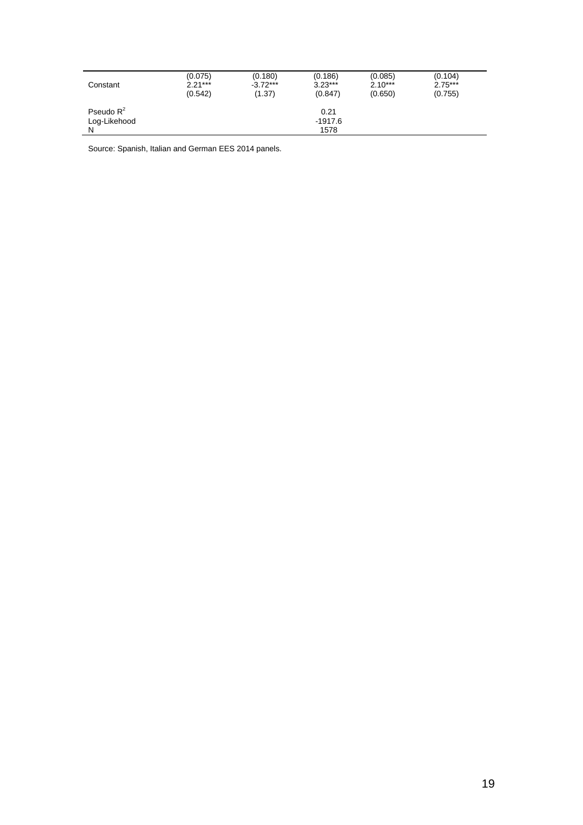| Constant                          | (0.075)   | (0.180)    | (0.186)                 | (0.085)   | (0.104)   |
|-----------------------------------|-----------|------------|-------------------------|-----------|-----------|
|                                   | $2.21***$ | $-3.72***$ | $3.23***$               | $2.10***$ | $2.75***$ |
|                                   | (0.542)   | (1.37)     | (0.847)                 | (0.650)   | (0.755)   |
| Pseudo $R^2$<br>Log-Likehood<br>N |           |            | 0.21<br>-1917.6<br>1578 |           |           |

Source: Spanish, Italian and German EES 2014 panels.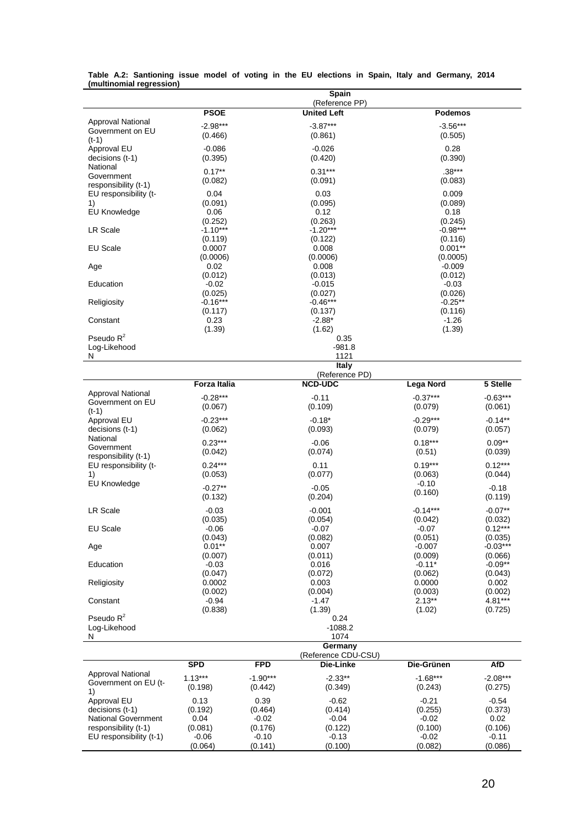|                                |                       |            | Spain                                |                       |                      |  |
|--------------------------------|-----------------------|------------|--------------------------------------|-----------------------|----------------------|--|
|                                | <b>PSOE</b>           |            | (Reference PP)<br><b>United Left</b> | <b>Podemos</b>        |                      |  |
| <b>Approval National</b>       |                       |            |                                      |                       |                      |  |
| Government on EU               | $-2.98***$            |            | $-3.87***$                           | $-3.56***$            |                      |  |
| $(t-1)$                        | (0.466)               |            | (0.861)                              | (0.505)               |                      |  |
| Approval EU                    | $-0.086$              |            | $-0.026$                             | 0.28                  |                      |  |
| decisions (t-1)                | (0.395)               |            | (0.420)                              | (0.390)               |                      |  |
| National<br>Government         | $0.17***$             |            | $0.31***$                            | $.38***$              |                      |  |
| responsibility (t-1)           | (0.082)               |            | (0.091)                              | (0.083)               |                      |  |
| EU responsibility (t-          | 0.04                  |            | 0.03                                 | 0.009                 |                      |  |
| 1)                             | (0.091)               |            | (0.095)                              | (0.089)               |                      |  |
| <b>EU Knowledge</b>            | 0.06                  |            | 0.12                                 | 0.18                  |                      |  |
|                                | (0.252)<br>$-1.10***$ |            | (0.263)<br>$-1.20***$                | (0.245)<br>$-0.98***$ |                      |  |
| <b>LR Scale</b>                | (0.119)               |            | (0.122)                              | (0.116)               |                      |  |
| <b>EU Scale</b>                | 0.0007                |            | 0.008                                | $0.001**$             |                      |  |
|                                | (0.0006)              |            | (0.0006)                             | (0.0005)              |                      |  |
| Age                            | 0.02                  |            | 0.008                                | $-0.009$              |                      |  |
|                                | (0.012)               |            | (0.013)                              | (0.012)               |                      |  |
| Education                      | $-0.02$               |            | $-0.015$                             | $-0.03$               |                      |  |
|                                | (0.025)<br>$-0.16***$ |            | (0.027)<br>$-0.46***$                | (0.026)<br>$-0.25**$  |                      |  |
| Religiosity                    | (0.117)               |            | (0.137)                              | (0.116)               |                      |  |
| Constant                       | 0.23                  |            | $-2.88*$                             | $-1.26$               |                      |  |
|                                | (1.39)                |            | (1.62)                               | (1.39)                |                      |  |
| Pseudo $R^2$                   |                       |            | 0.35                                 |                       |                      |  |
| Log-Likehood                   |                       |            | $-981.8$                             |                       |                      |  |
| N                              |                       |            | 1121                                 |                       |                      |  |
|                                |                       |            | Italy<br>(Reference PD)              |                       |                      |  |
|                                | <b>Forza Italia</b>   |            | <b>NCD-UDC</b>                       | Lega Nord             | 5 Stelle             |  |
| Approval National              | $-0.28***$            |            | $-0.11$                              | $-0.37***$            | $-0.63***$           |  |
| Government on EU               | (0.067)               |            | (0.109)                              | (0.079)               | (0.061)              |  |
| $(t-1)$                        |                       |            |                                      |                       |                      |  |
| Approval EU<br>decisions (t-1) | $-0.23***$<br>(0.062) |            | $-0.18*$<br>(0.093)                  | $-0.29***$<br>(0.079) | $-0.14**$<br>(0.057) |  |
| National                       |                       |            |                                      |                       |                      |  |
| Government                     | $0.23***$             |            | $-0.06$                              | $0.18***$             | $0.09**$             |  |
| responsibility (t-1)           | (0.042)               |            | (0.074)                              | (0.51)                | (0.039)              |  |
| EU responsibility (t-          | $0.24***$             |            | 0.11                                 | $0.19***$             | $0.12***$            |  |
| 1)                             | (0.053)               |            | (0.077)                              | (0.063)               | (0.044)              |  |
| <b>EU Knowledge</b>            | $-0.27**$             |            | $-0.05$                              | $-0.10$<br>(0.160)    | $-0.18$              |  |
|                                | (0.132)               |            | (0.204)                              |                       | (0.119)              |  |
| LR Scale                       | $-0.03$               |            | $-0.001$                             | $-0.14***$            | $-0.07**$            |  |
|                                | (0.035)               |            | (0.054)                              | (0.042)               | (0.032)              |  |
| <b>EU Scale</b>                | $-0.06$               |            | $-0.07$                              | $-0.07$               | $0.12***$            |  |
|                                | (0.043)               |            | (0.082)                              | (0.051)               | (0.035)              |  |
| Age                            | $0.01**$              |            | 0.007<br>(0.011)                     | $-0.007$<br>(0.009)   | $-0.03***$           |  |
| Education                      | (0.007)<br>$-0.03$    |            | 0.016                                | $-0.11*$              | (0.066)<br>$-0.09**$ |  |
|                                | (0.047)               |            | (0.072)                              | (0.062)               | (0.043)              |  |
| Religiosity                    | 0.0002                |            | 0.003                                | 0.0000                | 0.002                |  |
|                                | (0.002)               |            | (0.004)                              | (0.003)               | (0.002)              |  |
| Constant                       | $-0.94$               |            | $-1.47$                              | $2.13***$             | 4.81***              |  |
| Pseudo $R^2$                   | (0.838)               |            | (1.39)                               | (1.02)                | (0.725)              |  |
| Log-Likehood                   |                       |            | 0.24<br>$-1088.2$                    |                       |                      |  |
| N                              |                       |            | 1074                                 |                       |                      |  |
|                                |                       |            | Germany                              |                       |                      |  |
|                                |                       |            | (Reference CDU-CSU)                  |                       |                      |  |
|                                | <b>SPD</b>            | <b>FPD</b> | Die-Linke                            | Die-Grünen            | <b>AfD</b>           |  |
| <b>Approval National</b>       | $1.13***$             | $-1.90***$ | $-2.33**$                            | $-1.68***$            | $-2.08***$           |  |
| Government on EU (t-<br>1)     | (0.198)               | (0.442)    | (0.349)                              | (0.243)               | (0.275)              |  |
| Approval EU                    | 0.13                  | 0.39       | $-0.62$                              | $-0.21$               | $-0.54$              |  |
| decisions (t-1)                | (0.192)               | (0.464)    | (0.414)                              | (0.255)               | (0.373)              |  |
| <b>National Government</b>     | 0.04                  | $-0.02$    | $-0.04$                              | $-0.02$               | 0.02                 |  |
| responsibility (t-1)           | (0.081)               | (0.176)    | (0.122)                              | (0.100)               | (0.106)              |  |
| EU responsibility (t-1)        | $-0.06$               | $-0.10$    | $-0.13$                              | $-0.02$               | $-0.11$              |  |
|                                | (0.064)               | (0.141)    | (0.100)                              | (0.082)               | (0.086)              |  |

#### **Table A.2: Santioning issue model of voting in the EU elections in Spain, Italy and Germany, 2014 (multinomial regression)**